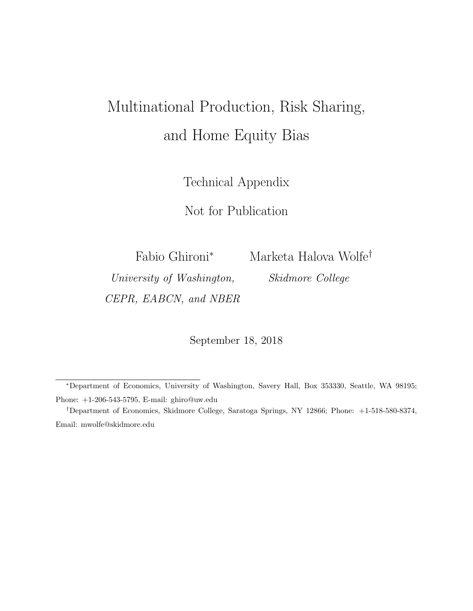# Multinational Production, Risk Sharing, and Home Equity Bias

Technical Appendix

Not for Publication

Fabio Ghironi<sup>∗</sup> Marketa Halova Wolfe†

University of Washington, Skidmore College CEPR, EABCN, and NBER

September 18, 2018

<sup>∗</sup>Department of Economics, University of Washington, Savery Hall, Box 353330, Seattle, WA 98195; Phone: +1-206-543-5795, E-mail: ghiro@uw.edu

<sup>†</sup>Department of Economics, Skidmore College, Saratoga Springs, NY 12866; Phone: +1-518-580-8374, Email: mwolfe@skidmore.edu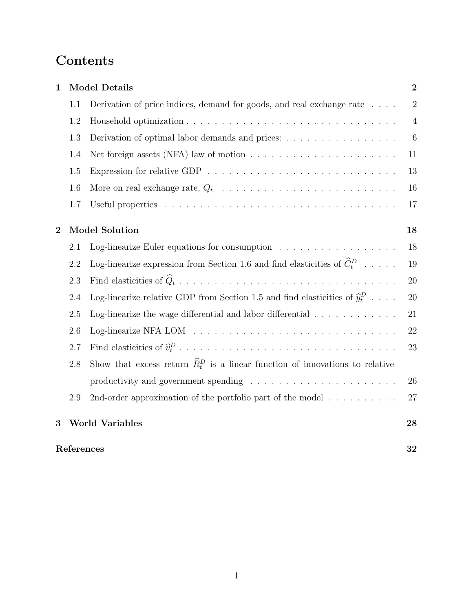## Contents

| $\mathbf{1}$     |                       | <b>Model Details</b>                                                                                                                                     | $\overline{2}$ |
|------------------|-----------------------|----------------------------------------------------------------------------------------------------------------------------------------------------------|----------------|
|                  | 1.1                   | Derivation of price indices, demand for goods, and real exchange rate                                                                                    | $\overline{2}$ |
|                  | 1.2                   |                                                                                                                                                          | $\overline{4}$ |
|                  | 1.3                   | Derivation of optimal labor demands and prices:                                                                                                          | 6              |
|                  | 1.4                   | Net foreign assets (NFA) law of motion $\dots \dots \dots \dots \dots \dots \dots \dots$                                                                 | 11             |
|                  | 1.5                   |                                                                                                                                                          | 13             |
|                  | 1.6                   |                                                                                                                                                          | 16             |
|                  | 1.7                   |                                                                                                                                                          | 17             |
| $\boldsymbol{2}$ | <b>Model Solution</b> |                                                                                                                                                          | 18             |
|                  | 2.1                   | Log-linearize Euler equations for consumption $\ldots \ldots \ldots \ldots \ldots$                                                                       | 18             |
|                  | 2.2                   | Log-linearize expression from Section 1.6 and find elasticities of $\widehat{C}_{t}^{D}$ $% \widehat{C}_{t}^{D}$ $\ldots$ $\ldots$ $\widehat{C}_{t}^{D}$ | 19             |
|                  | 2.3                   |                                                                                                                                                          | 20             |
|                  | 2.4                   | Log-linearize relative GDP from Section 1.5 and find elasticities of $\hat{y}_t^D$                                                                       | 20             |
|                  | 2.5                   | Log-linearize the wage differential and labor differential $\ldots \ldots \ldots \ldots$                                                                 | 21             |
|                  | 2.6                   | Log-linearize NFA LOM $\ldots \ldots \ldots \ldots \ldots \ldots \ldots \ldots \ldots \ldots \ldots$                                                     | 22             |
|                  | 2.7                   |                                                                                                                                                          | 23             |
|                  | 2.8                   | Show that excess return $\widehat{R}_t^D$ is a linear function of innovations to relative                                                                |                |
|                  |                       |                                                                                                                                                          | 26             |
|                  | 2.9                   | 2nd-order approximation of the portfolio part of the model $\dots \dots \dots$                                                                           | 27             |
| 3                |                       | <b>World Variables</b>                                                                                                                                   | 28             |
|                  | References            |                                                                                                                                                          |                |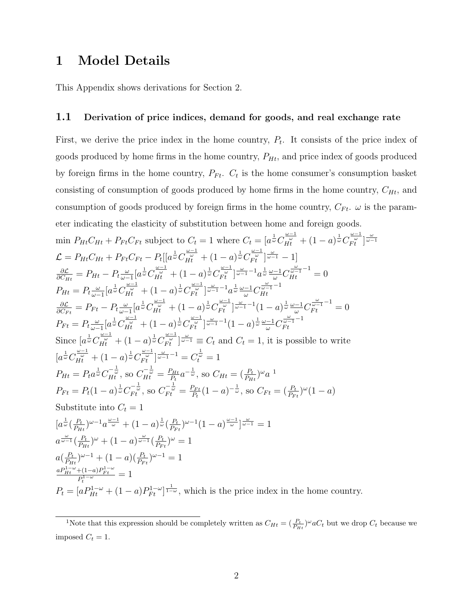### 1 Model Details

This Appendix shows derivations for Section 2.

#### 1.1 Derivation of price indices, demand for goods, and real exchange rate

First, we derive the price index in the home country,  $P_t$ . It consists of the price index of goods produced by home firms in the home country,  $P_{Ht}$ , and price index of goods produced by foreign firms in the home country,  $P_{Ft}$ .  $C_t$  is the home consumer's consumption basket consisting of consumption of goods produced by home firms in the home country,  $C_{Ht}$ , and consumption of goods produced by foreign firms in the home country,  $C_{Ft}$ .  $\omega$  is the parameter indicating the elasticity of substitution between home and foreign goods.

$$
\min P_{Ht}C_{Ht} + P_{Ft}C_{Ft} \text{ subject to } C_{t} = 1 \text{ where } C_{t} = [a^{\frac{1}{\omega}}C_{H^{t}}^{\frac{\omega-1}{\omega}} + (1-a)^{\frac{1}{\omega}}C_{F^{t}}^{\frac{\omega-1}{\omega}}]_{\omega=1}^{\frac{\omega}{\omega}}
$$
\n
$$
\mathcal{L} = P_{Ht}C_{Ht} + P_{Ft}C_{Ft} - P_{t}[[a^{\frac{1}{\omega}}C_{H^{t}}^{\frac{\omega-1}{\omega}} + (1-a)^{\frac{1}{\omega}}C_{F^{t}}^{\frac{\omega-1}{\omega}}]_{\omega=1}^{\omega} - 1]
$$
\n
$$
\frac{\partial \mathcal{L}}{\partial C_{Ht}} = P_{Ht} - P_{t}^{\frac{\omega}{\omega-1}}[a^{\frac{1}{\omega}}C_{H^{t}}^{\frac{\omega-1}{\omega}} + (1-a)^{\frac{1}{\omega}}C_{F^{t}}^{\frac{\omega-1}{\omega}}]_{\omega=1}^{\omega} - 1a^{\frac{1}{\omega}}\frac{\omega-1}{\omega}C_{H^{t}}^{\frac{\omega-1}{\omega}-1} = 0
$$
\n
$$
P_{Ht} = P_{t}^{\frac{\omega}{\omega-1}}[a^{\frac{1}{\omega}}C_{H^{t}}^{\frac{\omega-1}{\omega}} + (1-a)^{\frac{1}{\omega}}C_{F^{t}}^{\frac{\omega-1}{\omega}}]_{\omega=1}^{\omega-1}C_{F^{t}}^{\frac{\omega-1}{\omega}-1} - 1
$$
\n
$$
Q_{F^{t}}^{\frac{\omega}{\omega}} = P_{Ft} - P_{t}^{\frac{\omega}{\omega-1}}[a^{\frac{1}{\omega}}C_{H^{t}}^{\frac{\omega-1}{\omega}} + (1-a)^{\frac{1}{\omega}}C_{F^{t}}^{\frac{\omega-1}{\omega}}]_{\omega=1}^{\omega-1}C_{F^{t}}^{\frac{\omega-1}{\omega}-1} - 1
$$
\n
$$
\text{Since } [a^{\frac{1}{\omega}}C_{H^{t}}^{\frac{\omega-1}{\omega}} + (1-a)^{\frac{1}{\omega}}C_{F^{t}}^{\frac{\omega-1}{\omega}}]_{\omega=1}^{\frac{\omega-1}{\omega}-1} - 1
$$
\n

<sup>&</sup>lt;sup>1</sup>Note that this expression should be completely written as  $C_{Ht} = \left(\frac{P_t}{P_{Ht}}\right)^{\omega} a_{t}$  but we drop  $C_t$  because we imposed  $C_t = 1$ .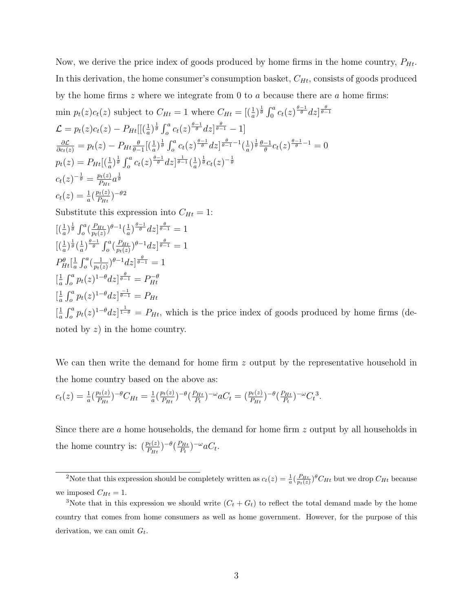Now, we derive the price index of goods produced by home firms in the home country,  $P_{Ht}$ . In this derivation, the home consumer's consumption basket,  $C_{Ht}$ , consists of goods produced by the home firms  $z$  where we integrate from 0 to  $a$  because there are  $a$  home firms:

$$
\min p_t(z)c_t(z) \text{ subject to } C_{Ht} = 1 \text{ where } C_{Ht} = \left[ \left( \frac{1}{a} \right)^{\frac{1}{\theta}} \int_0^a c_t(z)^{\frac{\theta-1}{\theta}} dz \right]^{\frac{\theta}{\theta-1}}
$$
\n
$$
\mathcal{L} = p_t(z)c_t(z) - P_{Ht} \left[ \left( \frac{1}{a} \right)^{\frac{1}{\theta}} \int_0^a c_t(z)^{\frac{\theta-1}{\theta}} dz \right]^{\frac{\theta}{\theta-1}} - 1 \right]
$$
\n
$$
\frac{\partial \mathcal{L}}{\partial c_t(z)} = p_t(z) - P_{Ht} \frac{\theta}{\theta-1} \left[ \left( \frac{1}{a} \right)^{\frac{1}{\theta}} \int_0^a c_t(z)^{\frac{\theta-1}{\theta}} dz \right]^{\frac{\theta}{\theta-1} - 1} \left( \frac{1}{a} \right)^{\frac{1}{\theta}} \frac{\theta - 1}{\theta} c_t(z)^{\frac{\theta - 1}{\theta} - 1} = 0
$$
\n
$$
p_t(z) = P_{Ht} \left[ \left( \frac{1}{a} \right)^{\frac{1}{\theta}} \int_0^a c_t(z)^{\frac{\theta-1}{\theta}} dz \right]^{\frac{1}{\theta-1}} \left( \frac{1}{a} \right)^{\frac{1}{\theta}} c_t(z)^{-\frac{1}{\theta}}
$$
\n
$$
c_t(z)^{-\frac{1}{\theta}} = \frac{p_t(z)}{P_{Ht}} a^{\frac{1}{\theta}}
$$
\nSubstitute this expression into  $C_{Ht} = 1$ :\n
$$
\left[ \left( \frac{1}{a} \right)^{\frac{1}{\theta}} \int_0^a \left( \frac{P_{Ht}}{p_t(z)} \right)^{\theta-1} \left( \frac{1}{a} \right)^{\frac{\theta-1}{\theta}} dz \right]^{\frac{\theta}{\theta-1}} = 1
$$
\n
$$
\left[ \left( \frac{1}{a} \right)^{\frac{1}{\theta}} \int_0^a \left( \frac{P_{Ht}}{p_t(z)} \right)^{\theta-1} \left( \frac{1}{a} \right)^{\frac{\theta-1}{\theta-1}} dz \right]^{\frac{\theta}{\theta-1}} = 1
$$

$$
\begin{aligned}\n\frac{1}{a}\left[\frac{1}{a}\int_{\theta}^{\theta}\left(\frac{1}{p_{t}(z)}\right)^{\theta} - \frac{1}{d}z\right]_{\theta=1}^{\theta=1} &= 1 \\
P_{Ht}^{\theta}\left[\frac{1}{a}\int_{o}^{a} (p_{t}(z))^{-\theta} dz\right]_{\theta=1}^{\theta=1} &= 1 \\
\frac{1}{a}\int_{o}^{a} p_{t}(z)^{1-\theta} dz\right]_{\theta=1}^{\frac{\theta=1}{\theta=1}} &= P_{Ht}^{\theta} \\
\frac{1}{a}\int_{o}^{a} p_{t}(z)^{1-\theta} dz\right]_{\theta=1}^{\frac{1}{a=1}} &= P_{Ht},\n\end{aligned}
$$
\nwhich is the price index of goods produced by home firms (de-

noted by  $z$ ) in the home country.

We can then write the demand for home firm z output by the representative household in the home country based on the above as:

$$
c_t(z) = \frac{1}{a} \left( \frac{p_t(z)}{p_{Ht}} \right)^{-\theta} C_{Ht} = \frac{1}{a} \left( \frac{p_t(z)}{p_{Ht}} \right)^{-\theta} \left( \frac{p_{Ht}}{p_t} \right)^{-\omega} a C_t = \left( \frac{p_t(z)}{p_{Ht}} \right)^{-\theta} \left( \frac{p_{Ht}}{p_t} \right)^{-\omega} C_t^3.
$$

Since there are a home households, the demand for home firm z output by all households in the home country is:  $\left(\frac{p_t(z)}{P_{Ht}}\right)^{-\theta} \left(\frac{P_{Ht}}{P_t}\right)$  $(\frac{P_{Ht}}{P_t})^{-\omega}aC_t.$ 

<sup>&</sup>lt;sup>2</sup>Note that this expression should be completely written as  $c_t(z) = \frac{1}{a} (\frac{P_{Ht}}{p_t(z)})^{\theta} C_{Ht}$  but we drop  $C_{Ht}$  because we imposed  $C_{Ht} = 1$ .

<sup>&</sup>lt;sup>3</sup>Note that in this expression we should write  $(C_t + G_t)$  to reflect the total demand made by the home country that comes from home consumers as well as home government. However, for the purpose of this derivation, we can omit  $G_t$ .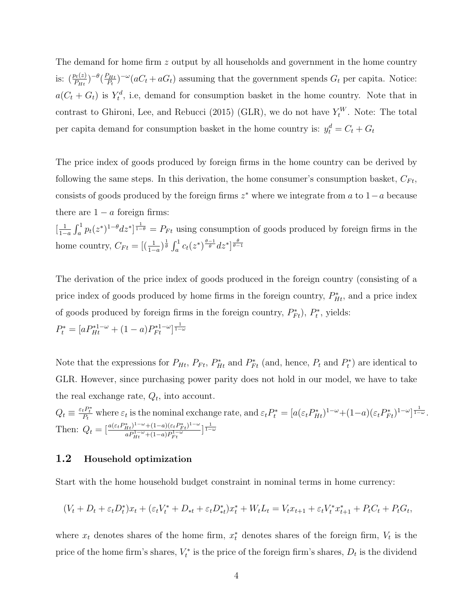The demand for home firm z output by all households and government in the home country is:  $\left(\frac{p_t(z)}{P_{Ht}}\right)^{-\theta} \left(\frac{P_{Ht}}{P_t}\right)$  $P_{Ht}^{(1)}$ )<sup>-ω</sup>( $aC_t + aG_t$ ) assuming that the government spends  $G_t$  per capita. Notice:  $a(C_t + G_t)$  is  $Y_t^d$ , i.e, demand for consumption basket in the home country. Note that in contrast to Ghironi, Lee, and Rebucci (2015) (GLR), we do not have  $Y_t^W$ . Note: The total per capita demand for consumption basket in the home country is:  $y_t^d = C_t + G_t$ 

The price index of goods produced by foreign firms in the home country can be derived by following the same steps. In this derivation, the home consumer's consumption basket,  $C_{Ft}$ , consists of goods produced by the foreign firms  $z^*$  where we integrate from a to  $1-a$  because there are  $1 - a$  foreign firms:

 $\left[\frac{1}{1}\right]$  $\frac{1}{1-a}\int_a^1 p_t(z^*)^{1-\theta}dz^*$   $\frac{1}{1-\theta} = P_{Ft}$  using consumption of goods produced by foreign firms in the home country,  $C_{Ft} = \left[ (\frac{1}{1-a})^{\frac{1}{\theta}} \int_a^1 c_t (z^*)^{\frac{\theta-1}{\theta}} dz^* \right]^{\frac{\theta}{\theta-1}}$ 

The derivation of the price index of goods produced in the foreign country (consisting of a price index of goods produced by home firms in the foreign country,  $P_{Ht}^*$ , and a price index of goods produced by foreign firms in the foreign country,  $P_{Ft}^*$ ),  $P_t^*$ , yields:  $P_t^* = [aP_{Ht}^{*1-\omega} + (1-a)P_{Ft}^{*1-\omega}]^{\frac{1}{1-\omega}}$ 

Note that the expressions for  $P_{Ht}$ ,  $P_{Ft}$ ,  $P_{Ht}^*$  and  $P_{Ft}^*$  (and, hence,  $P_t$  and  $P_t^*$ ) are identical to GLR. However, since purchasing power parity does not hold in our model, we have to take the real exchange rate,  $Q_t$ , into account.

 $Q_t \equiv \frac{\varepsilon_t P_t^*}{P_t}$  where  $\varepsilon_t$  is the nominal exchange rate, and  $\varepsilon_t P_t^* = [a(\varepsilon_t P_{Ht}^*)^{1-\omega}+(1-a)(\varepsilon_t P_{Ft}^*)^{1-\omega}]^{\frac{1}{1-\omega}}$ . Then:  $Q_t = \left[\frac{a(\varepsilon_t P_{Ht}^*)^{1-\omega}+(1-a)(\varepsilon_t P_{Ft}^*)^{1-\omega}}{a^{\frac{D^{1-\omega}}{1-(1-a)}p^{1-\omega}}} \right]$  $\frac{a_{Ht}}{a_{Ht}}^{1-\omega}$  +  $(1-a)(\varepsilon_t P_{Ft}^*)^{1-\omega}$   $\frac{1}{1-\omega}$ <br> $a_{Ht}^{1-\omega}$  +  $(1-a)P_{Ft}^{1-\omega}$ 

#### 1.2 Household optimization

Start with the home household budget constraint in nominal terms in home currency:

$$
(V_t + D_t + \varepsilon_t D_t^*)x_t + (\varepsilon_t V_t^* + D_{*t} + \varepsilon_t D_{*t}^*)x_t^* + W_t L_t = V_t x_{t+1} + \varepsilon_t V_t^* x_{t+1}^* + P_t C_t + P_t G_t,
$$

where  $x_t$  denotes shares of the home firm,  $x_t^*$  denotes shares of the foreign firm,  $V_t$  is the price of the home firm's shares,  $V_t^*$  is the price of the foreign firm's shares,  $D_t$  is the dividend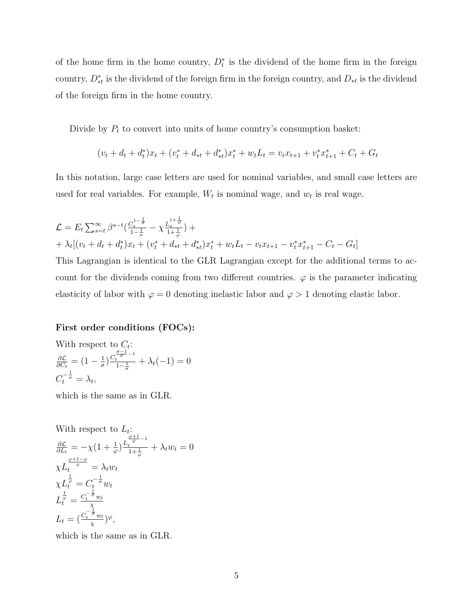of the home firm in the home country,  $D_t^*$  is the dividend of the home firm in the foreign country,  $D_{*t}^*$  is the dividend of the foreign firm in the foreign country, and  $D_{*t}$  is the dividend of the foreign firm in the home country.

Divide by  $P_t$  to convert into units of home country's consumption basket:

$$
(v_t + d_t + d_t^*)x_t + (v_t^* + d_{*t} + d_{*t}^*)x_t^* + w_t L_t = v_t x_{t+1} + v_t^* x_{t+1}^* + C_t + G_t
$$

In this notation, large case letters are used for nominal variables, and small case letters are used for real variables. For example,  $W_t$  is nominal wage, and  $w_t$  is real wage.

$$
\mathcal{L} = E_t \sum_{s=t}^{\infty} \beta^{s-t} \left( \frac{C_s^{1-\frac{1}{\sigma}}}{1-\frac{1}{\sigma}} - \chi \frac{L_s^{1+\frac{1}{\sigma}}}{1+\frac{1}{\sigma}} \right) +
$$
  
+  $\lambda_t \left[ (v_t + d_t + d_t^*) x_t + (v_t^* + d_{*t} + d_{*t}^*) x_t^* + w_t L_t - v_t x_{t+1} - v_t^* x_{t+1}^* - C_t - G_t \right]$ 

This Lagrangian is identical to the GLR Lagrangian except for the additional terms to account for the dividends coming from two different countries.  $\varphi$  is the parameter indicating elasticity of labor with  $\varphi = 0$  denoting inelastic labor and  $\varphi > 1$  denoting elastic labor.

#### First order conditions (FOCs):

With respect to 
$$
C_t
$$
:  
\n
$$
\frac{\partial \mathcal{L}}{\partial C_t} = (1 - \frac{1}{\sigma}) \frac{C_t^{\frac{\sigma - 1}{\sigma} - 1}}{1 - \frac{1}{\sigma}} + \lambda_t(-1) = 0
$$
\n
$$
C_t^{-\frac{1}{\sigma}} = \lambda_t,
$$

which is the same as in GLR.

With respect to 
$$
L_t
$$
:  
\n
$$
\frac{\partial \mathcal{L}}{\partial L_t} = -\chi \left(1 + \frac{1}{\varphi}\right) \frac{L_t^{\frac{\varphi+1}{\varphi}-1}}{1 + \frac{1}{\varphi}} + \lambda_t w_t = 0
$$
\n
$$
\chi L_t^{\frac{1}{\varphi}} = \lambda_t w_t
$$
\n
$$
\chi L_t^{\frac{1}{\varphi}} = C_t^{-\frac{1}{\sigma}} w_t
$$
\n
$$
L_t^{\frac{1}{\varphi}} = \frac{C_t^{-\frac{1}{\sigma}} w_t}{\chi}
$$
\n
$$
L_t = \left(\frac{C_t^{-\frac{1}{\sigma}} w_t}{\chi}\right) \varphi,
$$

which is the same as in GLR.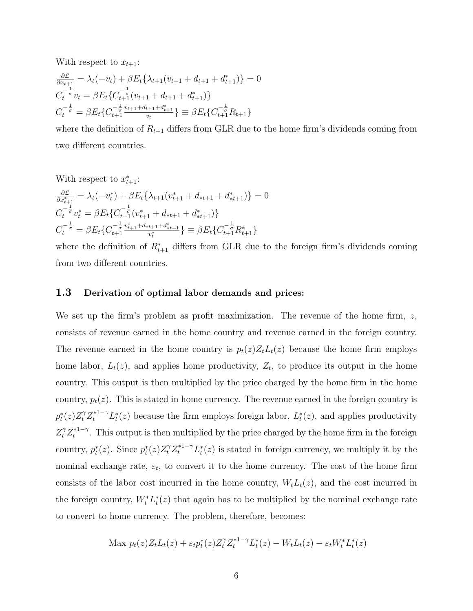With respect to  $x_{t+1}$ :

$$
\frac{\partial \mathcal{L}}{\partial x_{t+1}} = \lambda_t(-v_t) + \beta E_t \{ \lambda_{t+1}(v_{t+1} + d_{t+1} + d_{t+1}^*) \} = 0
$$
  
\n
$$
C_t^{-\frac{1}{\sigma}} v_t = \beta E_t \{ C_{t+1}^{-\frac{1}{\sigma}} (v_{t+1} + d_{t+1} + d_{t+1}^*) \}
$$
  
\n
$$
C_t^{-\frac{1}{\sigma}} = \beta E_t \{ C_{t+1}^{-\frac{1}{\sigma}} \frac{v_{t+1} + d_{t+1} + d_{t+1}^*}{v_t} \} \equiv \beta E_t \{ C_{t+1}^{-\frac{1}{\sigma}} R_{t+1} \}
$$

where the definition of  $R_{t+1}$  differs from GLR due to the home firm's dividends coming from two different countries.

With respect to  $x_{t+1}^*$ :

$$
\frac{\partial \mathcal{L}}{\partial x_{t+1}^*} = \lambda_t(-v_t^*) + \beta E_t \{ \lambda_{t+1}(v_{t+1}^* + d_{*t+1} + d_{*t+1}^*) \} = 0
$$
\n
$$
C_t^{-\frac{1}{\sigma}} v_t^* = \beta E_t \{ C_{t+1}^{-\frac{1}{\sigma}} (v_{t+1}^* + d_{*t+1} + d_{*t+1}^*) \}
$$
\n
$$
C_t^{-\frac{1}{\sigma}} = \beta E_t \{ C_{t+1}^{-\frac{1}{\sigma}} \frac{v_{t+1}^* + d_{*t+1} + d_{*t+1}^*}{v_t^*} \} \equiv \beta E_t \{ C_{t+1}^{-\frac{1}{\sigma}} R_{t+1}^* \}
$$

where the definition of  $R_{t+1}^*$  differs from GLR due to the foreign firm's dividends coming from two different countries.

#### 1.3 Derivation of optimal labor demands and prices:

We set up the firm's problem as profit maximization. The revenue of the home firm,  $z$ , consists of revenue earned in the home country and revenue earned in the foreign country. The revenue earned in the home country is  $p_t(z)Z_tL_t(z)$  because the home firm employs home labor,  $L_t(z)$ , and applies home productivity,  $Z_t$ , to produce its output in the home country. This output is then multiplied by the price charged by the home firm in the home country,  $p_t(z)$ . This is stated in home currency. The revenue earned in the foreign country is  $p_t^*(z)Z_t^{\gamma}Z_t^{*1-\gamma}L_t^*(z)$  because the firm employs foreign labor,  $L_t^*(z)$ , and applies productivity  $Z_t^{\gamma} Z_t^{*1-\gamma}$  $t^{*1-\gamma}$ . This output is then multiplied by the price charged by the home firm in the foreign country,  $p_t^*(z)$ . Since  $p_t^*(z)Z_t^{\gamma}Z_t^{*1-\gamma}L_t^*(z)$  is stated in foreign currency, we multiply it by the nominal exchange rate,  $\varepsilon_t$ , to convert it to the home currency. The cost of the home firm consists of the labor cost incurred in the home country,  $W<sub>t</sub>L<sub>t</sub>(z)$ , and the cost incurred in the foreign country,  $W_t^* L_t^*(z)$  that again has to be multiplied by the nominal exchange rate to convert to home currency. The problem, therefore, becomes:

$$
\text{Max } p_t(z)Z_tL_t(z) + \varepsilon_t p_t^*(z)Z_t^{\gamma}Z_t^{*1-\gamma}L_t^*(z) - W_tL_t(z) - \varepsilon_t W_t^*L_t^*(z)
$$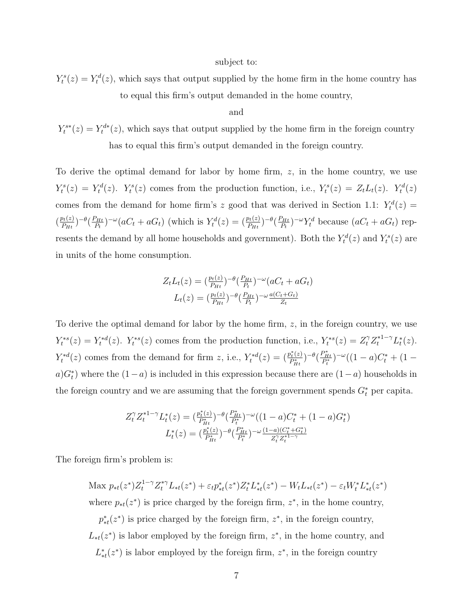#### subject to:

 $Y_t^s(z) = Y_t^d(z)$ , which says that output supplied by the home firm in the home country has to equal this firm's output demanded in the home country,

#### and

 $Y_t^{s*}(z) = Y_t^{d*}(z)$ , which says that output supplied by the home firm in the foreign country has to equal this firm's output demanded in the foreign country.

To derive the optimal demand for labor by home firm,  $z$ , in the home country, we use  $Y_t^s(z) = Y_t^d(z)$ .  $Y_t^s(z)$  comes from the production function, i.e.,  $Y_t^s(z) = Z_t L_t(z)$ .  $Y_t^d(z)$ comes from the demand for home firm's z good that was derived in Section 1.1:  $Y_t^d(z) =$  $\left(\frac{p_t(z)}{p_{tt}}\right)$  $\frac{\rho_t(z)}{P_{Ht}}$ ) $-\theta \left(\frac{P_{Ht}}{P_t}\right)$  $(P_{Ht})^{-\omega} (aC_t + aG_t)$  (which is  $Y_t^d(z) = (P_{Ht}^{i(z)})^{-\theta} (P_{Ht}^{i(z)})^{-\theta}$  $\frac{\rho_{Ht}}{P_t}$ )<sup>- $\omega$ </sup> $Y_t^d$  because  $(aC_t + aG_t)$  represents the demand by all home households and government). Both the  $Y_t^d(z)$  and  $Y_t^s(z)$  are in units of the home consumption.

$$
Z_t L_t(z) = \left(\frac{p_t(z)}{P_{Ht}}\right)^{-\theta} \left(\frac{P_{Ht}}{P_t}\right)^{-\omega} \left(aC_t + aG_t\right)
$$

$$
L_t(z) = \left(\frac{p_t(z)}{P_{Ht}}\right)^{-\theta} \left(\frac{P_{Ht}}{P_t}\right)^{-\omega} \frac{a(C_t + G_t)}{Z_t}
$$

To derive the optimal demand for labor by the home firm, z, in the foreign country, we use  $Y_t^{*s}(z) = Y_t^{*d}(z)$ .  $Y_t^{*s}(z)$  comes from the production function, i.e.,  $Y_t^{*s}(z) = Z_t^{\gamma} Z_t^{*1-\gamma} L_t^{*}(z)$ .  $Y_t^{*d}(z)$  comes from the demand for firm z, i.e.,  $Y_t^{*d}(z) = \left(\frac{p_t^{*}(z)}{P_{t,t}}\right)$  $\frac{P_t^*(z)}{P_{Ht}^*}$ )<sup>- $\theta \left( \frac{P_{Ht}^*}{P_t^*} \right)$ <sup>- $\omega$ </sup> $((1 - a)C_t^* + (1 - a)C_t^*$ </sup>  $a)G_t^*$  where the  $(1-a)$  is included in this expression because there are  $(1-a)$  households in the foreign country and we are assuming that the foreign government spends  $G_t^*$  per capita.

$$
Z_t^{\gamma} Z_t^{*1-\gamma} L_t^*(z) = \left(\frac{p_t^*(z)}{P_{Ht}^*}\right)^{-\theta} \left(\frac{P_{Ht}^*}{P_t^*}\right)^{-\omega} \left((1-a)C_t^* + (1-a)G_t^*\right)
$$

$$
L_t^*(z) = \left(\frac{p_t^*(z)}{P_{Ht}^*}\right)^{-\theta} \left(\frac{P_{Ht}^*}{P_t^*}\right)^{-\omega} \frac{(1-a)(C_t^* + G_t^*)}{Z_t^{\gamma} Z_t^{*1-\gamma}}
$$

The foreign firm's problem is:

Max  $p_{*t}(z^*)Z_t^{1-\gamma}Z_t^{*\gamma}L_{*t}(z^*) + \varepsilon_t p_{*t}^*(z^*)Z_t^*L_{*t}^*(z^*) - W_t L_{*t}(z^*) - \varepsilon_t W_t^*L_{*t}^*(z^*)$ where  $p_{\ast t}(z^*)$  is price charged by the foreign firm,  $z^*$ , in the home country,  $p_{\ast t}^*(z^*)$  is price charged by the foreign firm,  $z^*$ , in the foreign country,  $L_{\ast t}(z^*)$  is labor employed by the foreign firm,  $z^*$ , in the home country, and  $L_{\ast t}^{\ast}(z^{\ast})$  is labor employed by the foreign firm,  $z^{\ast}$ , in the foreign country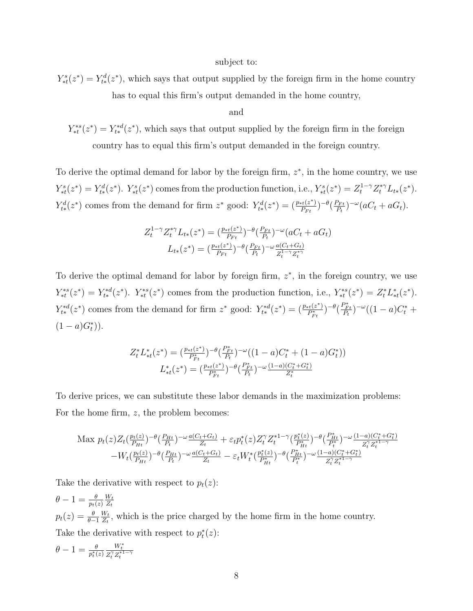#### subject to:

 $Y_{\ast t}^{s}(z^*) = Y_{t*}^{d}(z^*)$ , which says that output supplied by the foreign firm in the home country has to equal this firm's output demanded in the home country,

and

 $Y_{*t}^{*s}(z^*) = Y_{t*}^{*d}(z^*)$ , which says that output supplied by the foreign firm in the foreign country has to equal this firm's output demanded in the foreign country.

To derive the optimal demand for labor by the foreign firm,  $z^*$ , in the home country, we use  $Y_{*t}^s(z^*) = Y_{t*}^d(z^*)$ .  $Y_{*t}^s(z^*)$  comes from the production function, i.e.,  $Y_{*t}^s(z^*) = Z_t^{1-\gamma} Z_t^{*\gamma} L_{t*}(z^*)$ .  $Y_{t*}^d(z^*)$  comes from the demand for firm  $z^*$  good:  $Y_{t*}^d(z^*) = \left(\frac{p_{*t}(z^*)}{P_{Ft}}\right)$  $\frac{P_{Ft}(z^*)}{P_{Ft}}$ ) $-\theta \left(\frac{P_{Ft}}{P_t}\right)$  $\frac{P_{Ft}}{P_t}$ <sup>-ω</sup>(aC<sub>t</sub> + aG<sub>t</sub>).

$$
Z_t^{1-\gamma} Z_t^{*\gamma} L_{t*}(z^*) = \left(\frac{p_{*t}(z^*)}{P_{Ft}}\right)^{-\theta} \left(\frac{P_{Ft}}{P_t}\right)^{-\omega} \left(aC_t + aG_t\right)
$$

$$
L_{t*}(z^*) = \left(\frac{p_{*t}(z^*)}{P_{Ft}}\right)^{-\theta} \left(\frac{P_{Ft}}{P_t}\right)^{-\omega} \frac{a(C_t + G_t)}{Z_t^{1-\gamma} Z_t^{*\gamma}}
$$

To derive the optimal demand for labor by foreign firm,  $z^*$ , in the foreign country, we use  $Y_{*t}^{*s}(z^*) = Y_{t*}^{*d}(z^*)$ .  $Y_{*t}^{*s}(z^*)$  comes from the production function, i.e.,  $Y_{*t}^{*s}(z^*) = Z_t^* L_{*t}^*(z^*)$ .  $Y_{t*}^{*d}(z^*)$  comes from the demand for firm  $z^*$  good:  $Y_{t*}^{*d}(z^*) = \left(\frac{p_{*t}(z^*)}{P_{t*}^*}\right)$  $\frac{F_{t}(z^*)}{P_{Ft}^*}$ )<sup>- $\theta \left( \frac{P_{Ft}^*}{P_t} \right)^{-\omega} ((1-a)C_t^* +$ </sup>  $(1 - a)G_t^*)$ .

$$
Z_t^* L_{*t}^*(z^*) = \left(\frac{p_{*t}(z^*)}{P_{Ft}^*}\right)^{-\theta} \left(\frac{P_{Ft}^*}{P_t}\right)^{-\omega} \left((1-a)C_t^* + (1-a)G_t^*\right)
$$
  

$$
L_{*t}^*(z^*) = \left(\frac{p_{*t}(z^*)}{P_{Ft}^*}\right)^{-\theta} \left(\frac{P_{Ft}^*}{P_t}\right)^{-\omega} \frac{(1-a)(C_t^* + G_t^*)}{Z_t^*}
$$

To derive prices, we can substitute these labor demands in the maximization problems: For the home firm,  $z$ , the problem becomes:

$$
\begin{split} \text{Max}\,\, p_{t}(z) Z_{t}(\tfrac{p_{t}(z)}{P_{Ht}})^{-\theta}(\tfrac{P_{Ht}}{P_{t}})^{-\omega}\tfrac{a(C_{t}+G_{t})}{Z_{t}} &+ \varepsilon_{t} p_{t}^{*}(z) Z_{t}^{\gamma} Z_{t}^{*1-\gamma}(\tfrac{p_{t}^{*}(z)}{P_{Ht}^{*}})^{-\theta}(\tfrac{P_{Ht}^{*}}{P_{t}^{*}})^{-\omega}\tfrac{(1-a)(C_{t}^{*}+G_{t}^{*})}{Z_{t}^{\gamma}Z_{t}^{*1-\gamma}} \\ &- W_{t}(\tfrac{p_{t}(z)}{P_{Ht}})^{-\theta}(\tfrac{P_{Ht}}{P_{t}})^{-\omega}\tfrac{a(C_{t}+G_{t})}{Z_{t}} &- \varepsilon_{t} W_{t}^{*}(\tfrac{p_{t}^{*}(z)}{P_{Ht}^{*}})^{-\theta}(\tfrac{P_{Ht}^{*}}{P_{t}^{*}})^{-\omega}\tfrac{(1-a)(C_{t}^{*}+G_{t}^{*})}{Z_{t}^{\gamma}Z_{t}^{*1-\gamma}} \end{split}
$$

Take the derivative with respect to  $p_t(z)$ :

 $\theta-1=\frac{\theta}{p_t(z)}$  $W_t$  $Z_t$  $p_t(z) = \frac{\theta}{\theta-1}$  $W_t$  $\frac{W_t}{Z_t}$ , which is the price charged by the home firm in the home country. Take the derivative with respect to  $p_t^*(z)$ :

$$
\theta - 1 = \frac{\theta}{p_t^*(z)} \frac{W_t^*}{Z_t^{\gamma} Z_t^{*1 - \gamma}}
$$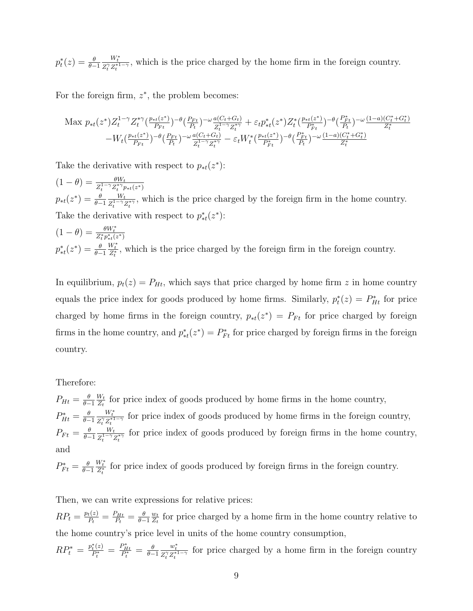$p_t^*(z) = \frac{\theta}{\theta-1}$  $\frac{W_t^*}{Z_t^{\gamma} Z_t^{*1-\gamma}}$ , which is the price charged by the home firm in the foreign country.

For the foreign firm,  $z^*$ , the problem becomes:

$$
\begin{array}{l} \text{Max}\ p_{*t}(z^*)Z_t^{1-\gamma}Z_t^{*\gamma}(\frac{p_{*t}(z^*)}{P_{Ft}})^{-\theta}(\frac{P_{Ft}}{P_{t}})^{-\omega}\frac{a(C_t+G_t)}{Z_t^{1-\gamma}Z_t^{*\gamma}}+\varepsilon_t p_{*t}^*(z^*)Z_t^{*}(\frac{p_{*t}(z^*)}{P_{Ft}^*})^{-\theta}(\frac{P_{Ft}^*}{P_{t}})^{-\omega}\frac{(1-a)(C_t^*+G_t^*)}{Z_t^*}\\ -W_t(\frac{p_{*t}(z^*)}{P_{Ft}})^{-\theta}(\frac{P_{Ft}}{P_{t}})^{-\omega}\frac{a(C_t+G_t)}{Z_t^{1-\gamma}Z_t^{*\gamma}}-\varepsilon_t W_t^{*}(\frac{p_{*t}(z^*)}{P_{Ft}^*})^{-\theta}(\frac{P_{Ft}}{P_{t}})^{-\omega}\frac{(1-a)(C_t^*+G_t^*)}{Z_t^*} \end{array}
$$

Take the derivative with respect to  $p_{\ast t}(z^*)$ :

 $(1 - \theta) = \frac{\theta W_t}{Z_t^{1 - \gamma} Z_t^{*\gamma} p_{*t}(z^*)}$  $p_{\ast t}(z^*) = \frac{\theta}{\theta - 1}$  $W_t$  $\frac{W_t}{Z_t^{1-\gamma}Z_t^{*\gamma}}$ , which is the price charged by the foreign firm in the home country. Take the derivative with respect to  $p_{*t}^*(z^*)$ :

$$
(1 - \theta) = \frac{\theta W_t^*}{Z_t^* p_{*t}^*(z^*)}
$$
  

$$
p_{*t}^*(z^*) = \frac{\theta}{\theta - 1} \frac{W_t^*}{Z_t^*}
$$
, which is the price charged by the foreign firm in the foreign country.

In equilibrium,  $p_t(z) = P_{Ht}$ , which says that price charged by home firm z in home country equals the price index for goods produced by home firms. Similarly,  $p_t^*(z) = P_{H_t}^*$  for price charged by home firms in the foreign country,  $p_{*t}(z^*) = P_{Ft}$  for price charged by foreign firms in the home country, and  $p_{*t}^*(z^*) = P_{Ft}^*$  for price charged by foreign firms in the foreign country.

#### Therefore:

 $P_{Ht} = \frac{\theta}{\theta - \theta}$  $\theta-1$  $W_t$  $\frac{W_t}{Z_t}$  for price index of goods produced by home firms in the home country,  $P_{Ht}^* = \frac{\theta}{\theta - \theta}$  $\theta-1$  $\frac{W_t^*}{Z_t^\gamma Z_t^{*1-\gamma}}$  for price index of goods produced by home firms in the foreign country,  $P_{Ft} = \frac{\theta}{\theta - \theta}$  $\theta-1$  $W_t$  $\frac{W_t}{Z_t^{1-\gamma}Z_t^{*\gamma}}$  for price index of goods produced by foreign firms in the home country, and

 $P_{Ft}^* = \frac{\theta}{\theta -}$  $\theta-1$  $\frac{W_t^*}{Z_t^*}$  for price index of goods produced by foreign firms in the foreign country.

Then, we can write expressions for relative prices:

 $RP_t = \frac{p_t(z)}{P_t}$  $\frac{t(z)}{P_t} = \frac{P_{Ht}}{P_t}$  $\frac{\rho_{Ht}}{P_t}=\frac{\theta}{\theta-}$  $\theta-1$  $\omega_t$  $\frac{w_t}{Z_t}$  for price charged by a home firm in the home country relative to the home country's price level in units of the home country consumption,

 $RP_t^* = \frac{p_t^*(z)}{P_t^*}$  $\frac{f(t)}{P_t^*} = \frac{P_{Ht}^*}{P_t^*} = \frac{\theta}{\theta - \theta}$  $\theta-1$  $\frac{w_t^*}{Z_t^\gamma Z_t^{*1-\gamma}}$  for price charged by a home firm in the foreign country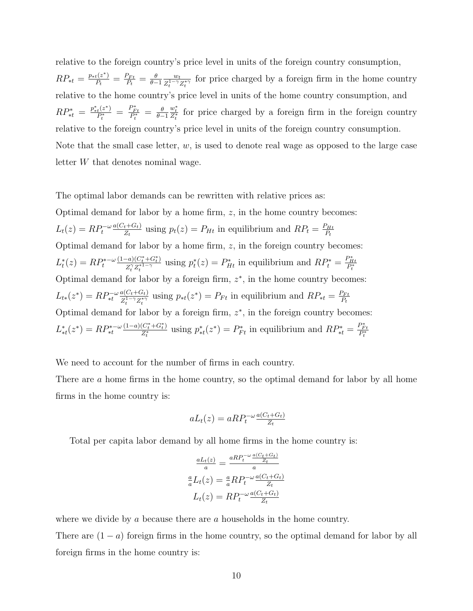relative to the foreign country's price level in units of the foreign country consumption,  $RP_{*t} = \frac{p_{*t}(z^*)}{P_t}$  $\frac{f(z^*)}{P_t} = \frac{P_{Ft}}{P_t}$  $\frac{\rho_{F t}}{P_t} = \frac{\theta}{\theta -}$  $\theta-1$  $w_t$  $\frac{w_t}{Z_t^{1-\gamma}Z_t^{*\gamma}}$  for price charged by a foreign firm in the home country relative to the home country's price level in units of the home country consumption, and  $RP^*_{*t} = \frac{p^*_{*t}(z^*)}{P^*_{*}}$  $\frac{t^{(z^*)}}{P_t^*} = \frac{P_{Ft}^*}{P_t^*} = \frac{\theta}{\theta - \theta}$  $\theta-1$  $\frac{w_t^*}{Z_t^*}$  for price charged by a foreign firm in the foreign country relative to the foreign country's price level in units of the foreign country consumption. Note that the small case letter,  $w$ , is used to denote real wage as opposed to the large case letter W that denotes nominal wage.

The optimal labor demands can be rewritten with relative prices as: Optimal demand for labor by a home firm,  $z$ , in the home country becomes:  $L_t(z) = R P_t^{-\omega} \frac{a(C_t + G_t)}{Z_t}$  $\frac{d_t + G_t}{Z_t}$  using  $p_t(z) = P_{Ht}$  in equilibrium and  $RP_t = \frac{P_{Ht}}{P_t}$  $P_t$ Optimal demand for labor by a home firm,  $z$ , in the foreign country becomes:  $L_t^*(z) = R P_t^{* - \omega}$  $(1-a)(C_t^* + G_t^*)$  $\frac{f(x_t^*+G_t^*)}{Z_t^2 Z_t^{*1-\gamma}}$  using  $p_t^*(z) = P_{Ht}^*$  in equilibrium and  $RP_t^* = \frac{P_{Ht}^*}{P_t^*}$ Optimal demand for labor by a foreign firm,  $z^*$ , in the home country becomes:  $L_{t*}(z^*) = R P_{*t}^{-\omega} \frac{a(C_t + G_t)}{Z^{1-\gamma}Z^{*\gamma}}$  $\frac{a(C_t + G_t)}{Z_t^{1-\gamma} Z_t^{*\gamma}}$  using  $p_{*t}(z^*) = P_{Ft}$  in equilibrium and  $RP_{*t} = \frac{P_{Ft}}{P_t}$  $P_t$ Optimal demand for labor by a foreign firm,  $z^*$ , in the foreign country becomes:  $L_{*t}^*(z^*) = R P_{*t}^{* - \omega}$  $(1-a)(C_t^* + G_t^*)$  $\frac{(C_t^* + G_t^*)}{Z_t^*}$  using  $p_{*t}^*(z^*) = P_{Ft}^*$  in equilibrium and  $RP_{*t}^* = \frac{P_{Ft}^*}{P_t^*}$ 

We need to account for the number of firms in each country.

There are a home firms in the home country, so the optimal demand for labor by all home firms in the home country is:

$$
aL_t(z) = aRP_t^{-\omega} \frac{a(C_t + G_t)}{Z_t}
$$

Total per capita labor demand by all home firms in the home country is:

$$
\frac{aL_t(z)}{a} = \frac{aRP_t^{-\omega} \frac{a(C_t + G_t)}{Z_t}}{a}
$$

$$
\frac{a}{a}L_t(z) = \frac{a}{a}RP_t^{-\omega} \frac{a(C_t + G_t)}{Z_t}
$$

$$
L_t(z) = RP_t^{-\omega} \frac{a(C_t + G_t)}{Z_t}
$$

where we divide by a because there are a households in the home country.

There are  $(1 - a)$  foreign firms in the home country, so the optimal demand for labor by all foreign firms in the home country is: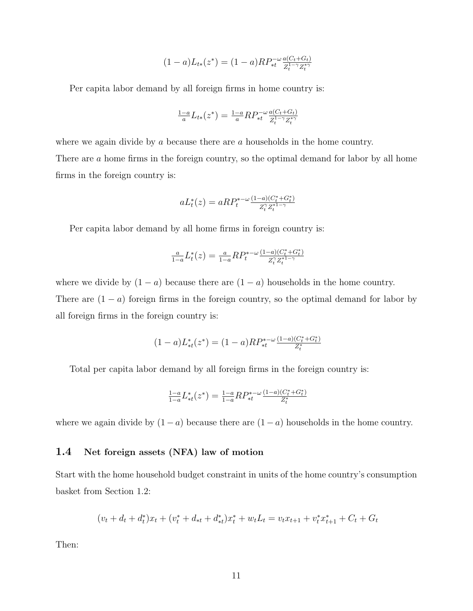$$
(1-a)L_{t*}(z^*) = (1-a)RP_{*t}^{-\omega} \frac{a(C_t + G_t)}{Z_t^{1-\gamma}Z_t^{*\gamma}}
$$

Per capita labor demand by all foreign firms in home country is:

$$
\frac{1-a}{a}L_{t*}(z^*) = \frac{1-a}{a}RP_{*t}^{-\omega} \frac{a(C_t + G_t)}{Z_t^{1-\gamma}Z_t^{*\gamma}}
$$

where we again divide by a because there are a households in the home country.

There are a home firms in the foreign country, so the optimal demand for labor by all home firms in the foreign country is:

$$
aL_t^*(z) = aRP_t^{*-\omega} \frac{(1-a)(C_t^* + G_t^*)}{Z_t^{\gamma} Z_t^{*1-\gamma}}
$$

Per capita labor demand by all home firms in foreign country is:

$$
\frac{a}{1-a}L_t^*(z) = \frac{a}{1-a}RP_t^{*-\omega} \frac{(1-a)(C_t^* + G_t^*)}{Z_t^{\gamma} Z_t^{*1-\gamma}}
$$

where we divide by  $(1 - a)$  because there are  $(1 - a)$  households in the home country. There are  $(1 - a)$  foreign firms in the foreign country, so the optimal demand for labor by all foreign firms in the foreign country is:

$$
(1-a)L_{*t}^*(z^*) = (1-a)RP_{*t}^{*-\omega} \frac{(1-a)(C_t^* + G_t^*)}{Z_t^*}
$$

Total per capita labor demand by all foreign firms in the foreign country is:

$$
\frac{1-a}{1-a}L_{*t}^*(z^*) = \frac{1-a}{1-a}RP_{*t}^{*-\omega}\frac{(1-a)(C_t^* + G_t^*)}{Z_t^*}
$$

where we again divide by  $(1 - a)$  because there are  $(1 - a)$  households in the home country.

#### 1.4 Net foreign assets (NFA) law of motion

Start with the home household budget constraint in units of the home country's consumption basket from Section 1.2:

$$
(v_t + d_t + d_t^*)x_t + (v_t^* + d_{*t} + d_{*t}^*)x_t^* + w_t L_t = v_t x_{t+1} + v_t^* x_{t+1}^* + C_t + G_t
$$

Then: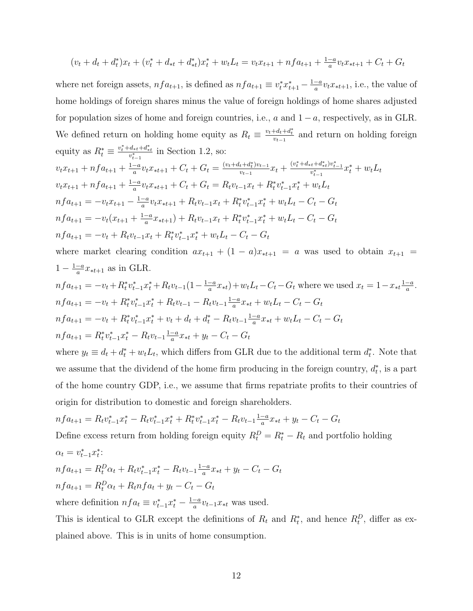$$
(v_t + d_t + d_t^*)x_t + (v_t^* + d_{*t} + d_{*t}^*)x_t^* + w_t L_t = v_t x_{t+1} + n f a_{t+1} + \frac{1-a}{a} v_t x_{*t+1} + C_t + G_t
$$

where net foreign assets,  $nfa_{t+1}$ , is defined as  $nfa_{t+1} \equiv v_t^*x_{t+1}^* - \frac{1-a}{a}$  $\frac{-a}{a}v_t x_{*t+1}$ , i.e., the value of home holdings of foreign shares minus the value of foreign holdings of home shares adjusted for population sizes of home and foreign countries, i.e.,  $a$  and  $1 - a$ , respectively, as in GLR. We defined return on holding home equity as  $R_t \equiv \frac{v_t + d_t + d_t^*}{v_{t-1}}$  and return on holding foreign equity as  $R_t^* \equiv \frac{v_t^* + d_{*t} + d_{*t}^*}{v_{t-1}^*}$  in Section 1.2, so:  $v_t x_{t+1} + n f a_{t+1} + \frac{1-a}{a}$  $\frac{-a}{a}v_t x_{*t+1} + C_t + G_t = \frac{(v_t + d_t + d_t^*)v_{t-1}}{v_{t-1}}$  $\frac{v_t + d_t^* v_{t-1}}{v_{t-1}} x_t + \frac{(v_t^* + d_{*t} + d_{*t}^*) v_{t-1}^*}{v_{t-1}^*} x_t^* + w_t L_t$  $v_t x_{t+1} + n f a_{t+1} + \frac{1-a}{a}$  $\frac{-a}{a}v_t x_{*t+1} + C_t + G_t = R_t v_{t-1} x_t + R_t^* v_{t-1}^* x_t^* + w_t L_t$  $nf a_{t+1} = -v_t x_{t+1} - \frac{1-a}{a}$  $\frac{-a}{a}v_t x_{*t+1} + R_t v_{t-1} x_t + R_t^* v_{t-1}^* x_t^* + w_t L_t - C_t - G_t$  $nf a_{t+1} = -v_t(x_{t+1} + \frac{1-a}{a})$  $\frac{-a}{a}x_{*t+1}$  +  $R_tv_{t-1}x_t + R_t^*v_{t-1}^*x_t^* + w_tL_t - C_t - G_t$ 

 $nf a_{t+1} = -v_t + R_t v_{t-1} x_t + R_t^* v_{t-1}^* x_t^* + w_t L_t - C_t - G_t$ where market clearing condition  $ax_{t+1} + (1 - a)x_{*t+1} = a$  was used to obtain  $x_{t+1} = a$ 

$$
1 - \frac{1-a}{a}x_{*t+1} \text{ as in GLR.}
$$
  
\n
$$
nf a_{t+1} = -v_t + R_t^* v_{t-1}^* x_t^* + R_t v_{t-1} (1 - \frac{1-a}{a} x_{*t}) + w_t L_t - C_t - G_t \text{ where we used } x_t = 1 - x_{*t} \frac{1-a}{a}.
$$
  
\n
$$
nf a_{t+1} = -v_t + R_t^* v_{t-1}^* x_t^* + R_t v_{t-1} - R_t v_{t-1} \frac{1-a}{a} x_{*t} + w_t L_t - C_t - G_t
$$
  
\n
$$
nf a_{t+1} = -v_t + R_t^* v_{t-1}^* x_t^* + v_t + d_t + d_t^* - R_t v_{t-1} \frac{1-a}{a} x_{*t} + w_t L_t - C_t - G_t
$$
  
\n
$$
nf a_{t+1} = R_t^* v_{t-1}^* x_t^* - R_t v_{t-1} \frac{1-a}{a} x_{*t} + y_t - C_t - G_t
$$

where  $y_t \equiv d_t + d_t^* + w_t L_t$ , which differs from GLR due to the additional term  $d_t^*$ . Note that we assume that the dividend of the home firm producing in the foreign country,  $d_t^*$ , is a part of the home country GDP, i.e., we assume that firms repatriate profits to their countries of origin for distribution to domestic and foreign shareholders.

 $nf a_{t+1} = R_t v_{t-1}^* x_t^* - R_t v_{t-1}^* x_t^* + R_t^* v_{t-1}^* x_t^* - R_t v_{t-1} \frac{1-a_t}{a_t}$  $\frac{-a}{a}x_{*t} + y_t - C_t - G_t$ 

Define excess return from holding foreign equity  $R_t^D = R_t^* - R_t$  and portfolio holding

$$
\alpha_t = v_{t-1}^* x_t^*.
$$
  
\n
$$
nf a_{t+1} = R_t^D \alpha_t + R_t v_{t-1}^* x_t^* - R_t v_{t-1} \frac{1-a}{a} x_{*t} + y_t - C_t - G_t
$$
  
\n
$$
nf a_{t+1} = R_t^D \alpha_t + R_t n f a_t + y_t - C_t - G_t
$$

where definition  $nf a_t \equiv v_{t-1}^* x_t^* - \frac{1-a}{a}$  $\frac{-a}{a}v_{t-1}x_{*t}$  was used.

 $1-\frac{1-a}{a}$ 

This is identical to GLR except the definitions of  $R_t$  and  $R_t^*$ , and hence  $R_t^D$ , differ as explained above. This is in units of home consumption.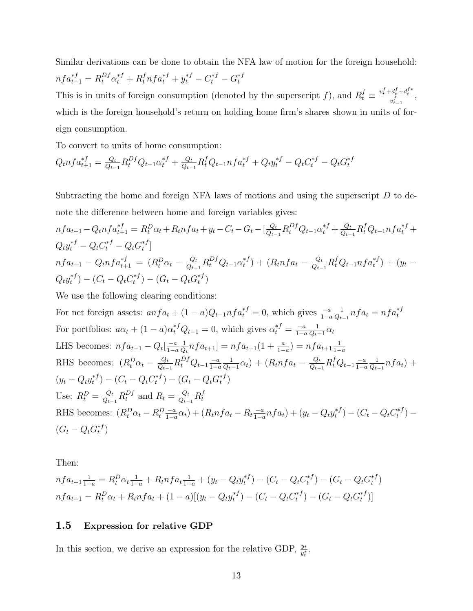Similar derivations can be done to obtain the NFA law of motion for the foreign household:  $nf a_{t+1}^{*f} = R_t^{Df} \alpha_t^{*f} + R_t^f nf a_t^{*f} + y_t^{*f} - C_t^{*f} - G_t^{*f}$ t

This is in units of foreign consumption (denoted by the superscript f), and  $R_t^f \equiv \frac{v_t^f + d_t^f + d_t^{f*}}{v_{t-1}^f}$ , which is the foreign household's return on holding home firm's shares shown in units of foreign consumption.

To convert to units of home consumption:

$$
Q_t n f a_{t+1}^{*f} = \frac{Q_t}{Q_{t-1}} R_t^{Df} Q_{t-1} \alpha_t^{*f} + \frac{Q_t}{Q_{t-1}} R_t^f Q_{t-1} n f a_t^{*f} + Q_t y_t^{*f} - Q_t C_t^{*f} - Q_t G_t^{*f}
$$

Subtracting the home and foreign NFA laws of motions and using the superscript  $D$  to denote the difference between home and foreign variables gives:

$$
nf a_{t+1} - Q_t n f a_{t+1}^{*f} = R_t^D \alpha_t + R_t n f a_t + y_t - C_t - G_t - \left[\frac{Q_t}{Q_{t-1}} R_t^{Df} Q_{t-1} \alpha_t^{*f} + \frac{Q_t}{Q_{t-1}} R_t^f Q_{t-1} n f a_t^{*f}\right]
$$
  
\n
$$
Q_t y_t^{*f} - Q_t C_t^{*f} - Q_t G_t^{*f}
$$
  
\n
$$
nf a_{t+1} - Q_t n f a_{t+1}^{*f} = (R_t^D \alpha_t - \frac{Q_t}{Q_{t-1}} R_t^{Df} Q_{t-1} \alpha_t^{*f}) + (R_t n f a_t - \frac{Q_t}{Q_{t-1}} R_t^f Q_{t-1} n f a_t^{*f}) + (y_t - Q_t y_t^{*f}) - (C_t - Q_t C_t^{*f}) - (G_t - Q_t G_t^{*f})
$$

We use the following clearing conditions:

For net foreign assets:  $anfa_t + (1-a)Q_{t-1}nf_a^{*f} = 0$ , which gives  $\frac{-a}{1-a}$ 1  $\frac{1}{Q_{t-1}} nfa_t = nfa_t^{*f}$ For portfolios:  $a\alpha_t + (1 - a)\alpha_t^{*f}Q_{t-1} = 0$ , which gives  $\alpha_t^{*f} = \frac{-a}{1 - a}$  $1-a$ 1  $\frac{1}{Q_t-1}\alpha_t$ LHS becomes:  $nfa_{t+1} - Q_t\left[\frac{-a}{1-c}\right]$  $1-a$ 1  $\frac{1}{Q_t} n f a_{t+1}$ ] =  $n f a_{t+1} (1 + \frac{a}{1-a}) = n f a_{t+1} \frac{1}{1-a}$  $1-a$ RHS becomes:  $(R_t^D \alpha_t - \frac{Q_t}{Q_{t-1}})$  $\frac{Q_t}{Q_{t-1}}R_t^{Df}Q_{t-1}\frac{-a}{1-\epsilon}$  $1-a$ 1  $\frac{1}{Q_t-1}\alpha_t$  +  $(R_t nfa_t - \frac{Q_t}{Q_t-1})$  $\frac{Q_t}{Q_{t-1}}R_t^f Q_{t-1} \frac{-a}{1-\alpha}$  $1-a$ 1  $\frac{1}{Q_{t-1}} nfa_t) +$  $(y_t - Q_t y_t^{*f})$  $t^{*f}) - (C_t - Q_t C_t^{*f})$  $(t_t^{*f}) - (G_t - Q_t G_t^{*f})$  $_{t}^{\ast f})$ Use:  $R_t^D = \frac{Q_t}{Q_{t-1}}$  $\frac{Q_t}{Q_{t-1}}R_t^{Df}$  and  $R_t = \frac{Q_t}{Q_{t-1}}$  $\frac{Q_t}{Q_{t-1}}R_t^f$ t RHS becomes:  $(R_t^D \alpha_t - R_t^D \frac{-a}{1-\epsilon})$  $\frac{-a}{1-a}\alpha_t$ ) +  $(R_t nfa_t - R_t \frac{-a}{1-a})$  $\frac{-a}{1-a}nf a_t$  +  $(y_t - Q_t y_t^{*f})$  $t^{*f}) - (C_t - Q_t C_t^{*f})$  $\binom{*}{t}$  –  $(G_t-Q_tG_t^{*f})$  $_{t}^{\ast J})$ 

Then:

$$
nfa_{t+1}\frac{1}{1-a} = R_t^D\alpha_t \frac{1}{1-a} + R_t nfa_t \frac{1}{1-a} + (y_t - Q_t y_t^{*f}) - (C_t - Q_t C_t^{*f}) - (G_t - Q_t G_t^{*f})
$$
  

$$
nfa_{t+1} = R_t^D\alpha_t + R_t nfa_t + (1-a)[(y_t - Q_t y_t^{*f}) - (C_t - Q_t C_t^{*f}) - (G_t - Q_t G_t^{*f})]
$$

#### 1.5 Expression for relative GDP

In this section, we derive an expression for the relative GDP,  $\frac{y_t}{y_t^*}$ .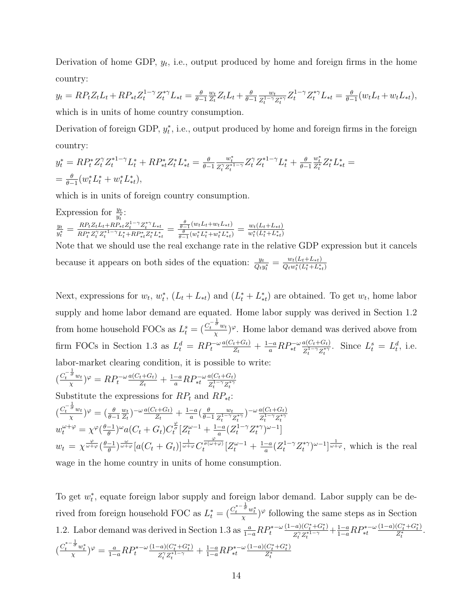Derivation of home GDP,  $y_t$ , i.e., output produced by home and foreign firms in the home country:

 $y_t = RP_t Z_t L_t + RP_{*t} Z_t^{1-\gamma} Z_t^{*\gamma} L_{*t} = \frac{\theta}{\theta - \gamma}$  $\theta-1$  $\overline{w_t}$  $\frac{w_t}{Z_t} Z_t L_t + \frac{\theta}{\theta -}$  $\theta-1$  $w_t$  $\frac{w_t}{Z_t^{1-\gamma}Z_t^{*\gamma}}Z_t^{1-\gamma}Z_t^{*\gamma}L_{*t}=\frac{\theta}{\theta-}$  $\frac{\theta}{\theta-1}(w_t L_t + w_t L_{*t}),$ which is in units of home country consumption.

Derivation of foreign GDP,  $y_t^*$ , i.e., output produced by home and foreign firms in the foreign country:

$$
y_t^* = R P_t^* Z_t^{\gamma} Z_t^{*1-\gamma} L_t^* + R P_{*t}^* Z_t^* L_{*t}^* = \frac{\theta}{\theta - 1} \frac{w_t^*}{Z_t^{\gamma} Z_t^{*1-\gamma}} Z_t^{\gamma} Z_t^{*1-\gamma} L_t^* + \frac{\theta}{\theta - 1} \frac{w_t^*}{Z_t^*} Z_t^* L_{*t}^* =
$$
  
=  $\frac{\theta}{\theta - 1} (w_t^* L_t^* + w_t^* L_{*t}^*),$ 

which is in units of foreign country consumption.

Expression for  $\frac{y_t}{y_t^*}$  $\frac{t}{*}$ :

yt  $\frac{y_t}{y_t^*} = \frac{R P_t Z_t L_t {+} R P_{*t} Z_t^{1-\gamma} Z_t^{*\gamma} L_{*t}}{R P_t^* Z_t^\gamma {Z_t^*}^{1-\gamma} L_t^* {+} R P_{*t}^\gamma Z_t^* L_*^*}$  $\frac{RP_t Z_t L_t + RP_{*t}Z_t^{1-\gamma}Z_t^{*\gamma}L_{*t}}{RP_t^{*}Z_t^{\gamma}Z_t^{*\,1-\gamma}L_t^{*}+RP_{*t}^{*}Z_t^{*}L_{*t}^{*}} = \frac{\frac{\theta}{\theta-1}(w_t L_t + w_t L_{*t})}{\frac{\theta}{\theta-1}(w_t^{*}L_t^{*}+w_t^{*}L_{*t}^{*})}$  $\frac{\frac{\partial}{\partial-1}(w_t L_t + w_t L_{*t})}{\frac{\theta}{\theta-1}(w_t^* L_t^* + w_t^* L_{*t}^*)} = \frac{w_t (L_t + L_{*t})}{w_t^* (L_t^* + L_{*t}^*)}$  $\overline{w_t^*(L_t^*+L_{*t}^*)}$ 

Note that we should use the real exchange rate in the relative GDP expression but it cancels because it appears on both sides of the equation:  $\frac{y_t}{Q_t y_t^*} = \frac{w_t (L_t + L_{*t})}{Q_t w_t^* (L_t^* + L_*^*)}$  $\overline{Q_t w_t^*(L_t^*+L_{*t}^*)}$ 

Next, expressions for  $w_t$ ,  $w_t^*$ ,  $(L_t + L_{*t})$  and  $(L_t^* + L_{*t}^*)$  are obtained. To get  $w_t$ , home labor supply and home labor demand are equated. Home labor supply was derived in Section 1.2 from home household FOCs as  $L_t^s = \left(\frac{C_t^{-\frac{1}{\sigma}} w_t}{x}\right)$  $(\frac{\partial w_t}{\partial x})^{\varphi}$ . Home labor demand was derived above from firm FOCs in Section 1.3 as  $L_t^d = R P_t^{-\omega} \frac{a(C_t + G_t)}{Z_t}$  $\frac{d_{t}+G_{t})}{d_{t}}+\frac{1-a}{a}RP_{*t}^{-\omega}\frac{a(C_{t}+G_{t})}{Z_{t}^{1-\gamma}Z_{t}^{*\gamma}}$  $\frac{a(C_t + G_t)}{Z_t^{1-\gamma} Z_t^{*\gamma}}$ . Since  $L_t^s = L_t^d$ , i.e. labor-market clearing condition, it is possible to write:  $-\frac{1}{\pi}$ 

$$
\left(\frac{C_t^{-\overline{\sigma}} w_t}{\chi}\right)^{\varphi} = R P_t^{-\omega} \frac{a(C_t + G_t)}{Z_t} + \frac{1 - a}{a} R P_{*t}^{-\omega} \frac{a(C_t + G_t)}{Z_t^{1 - \gamma} Z_t^{*\gamma}}
$$

Substitute the expressions for  $RP_t$  and  $RP_{*t}$ :  $\left(\frac{C_t^{-\frac{1}{\sigma}}w_t}{\gamma}\right)$  $(\frac{\theta}{\chi})^{\varphi}=(\frac{\theta}{\theta-1})$  $\frac{w_t}{w}$  $\frac{w_t}{Z_t}$ )<sup>-</sup> $\omega \frac{a(C_t+G_t)}{Z_t}$  $\frac{1+G_t}{Z_t}+\frac{1-a}{a}$  $\frac{-a}{a}$  $\left(\frac{\theta}{\theta -}\right)$  $\theta-1$  $\overline{w_t}$  $\frac{w_t}{Z_t^{1-\gamma}Z_t^{*\gamma}}$ ) –  $\omega \frac{a(C_t+G_t)}{Z_t^{1-\gamma}Z_t^{*\gamma}}$  $Z_t^{1-\gamma} Z_t^{*\gamma}$  $w_t^{\omega+\varphi} = \chi^{\varphi}(\frac{\theta-1}{\theta})$  $\frac{(-1)}{\theta}$ <sup>w</sup>a(C<sub>t</sub> + G<sub>t</sub>)C<sub>t</sub><sup> $\frac{\varphi}{c}$ </sup> $[Z_t^{\omega-1} + \frac{1-a}{a}]$  $\frac{-a}{a}(Z_t^{1-\gamma}Z_t^{*\gamma}$  $\binom{1}{t}$ <sup> $\omega-1$ </sup>]  $w_t = \chi^{\frac{\varphi}{\omega + \varphi}}(\frac{\theta - 1}{\theta})$  $\frac{(-1)}{\theta}e^{-\frac{\omega}{\omega+\varphi}}[a(C_t+G_t)]^{\frac{1}{\omega+\varphi}}C_t^{\frac{\varphi}{\sigma(\omega+\varphi)}}[Z_t^{\omega-1}+\frac{1-a}{a}]$  $\frac{-a}{a}(Z_t^{1-\gamma}Z_t^{*\gamma})$  $(t^{*\gamma})^{\omega-1}]^{\frac{1}{\omega+\varphi}},$  which is the real wage in the home country in units of home consumption.

To get  $w_t^*$ , equate foreign labor supply and foreign labor demand. Labor supply can be derived from foreign household FOC as  $L_t^* = \left(\frac{C_t^{*-\frac{1}{\sigma}}w_t^*}{\chi}\right)^\varphi$  following the same steps as in Section 1.2. Labor demand was derived in Section 1.3 as  $\frac{a}{1-a}RP_t^{*-\omega}$  $(1-a)(C_t^* + G_t^*)$  $\frac{(-a)(C^*_t+G^*_t)}{Z^{\gamma}_t Z^{*1-\gamma}_t}+\frac{1-a}{1-a}RP^{*-\omega}_{*t}$  $(1-a)(C_t^* + G_t^*)$  $\frac{(C_t+G_t)}{Z_t^*}$ .  $\left(\frac{C_t^{*-\frac{1}{\sigma}}w_t^*}{\chi}\right)^\varphi = \frac{a}{1-a}RP_t^{*-\omega}$  $(1-a)(C_t^*+G_t^*)$  $\frac{(-a)(C^*_t+G^*_t)}{Z^{\gamma}_t Z^{*1-\gamma}_t}+\frac{1-a}{1-a}RP^{*- \omega}_{*t}$  $(1-a)(C_t^* + G_t^*)$  $\overline{Z_t^*}$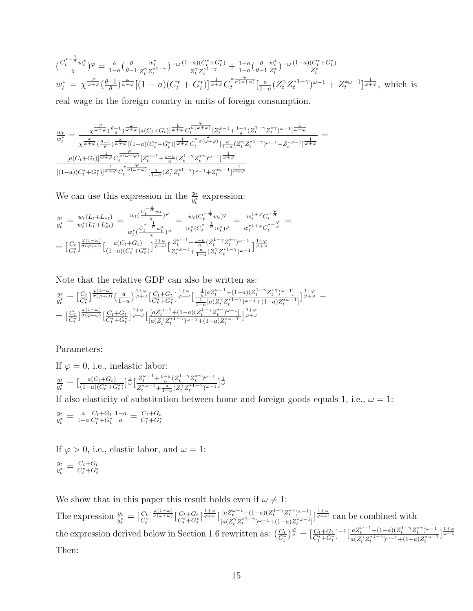$$
\left(\frac{C_t^{*-\frac{1}{\sigma}}w_t^*}{\chi}\right)^{\varphi} = \frac{a}{1-a} \left(\frac{\theta}{\theta-1} \frac{w_t^*}{Z_t^{\gamma} Z_t^{*1-\gamma}}\right)^{-\omega} \frac{(1-a)(C_t^* + G_t^*)}{Z_t^{\gamma} Z_t^{*1-\gamma}} + \frac{1-a}{1-a} \left(\frac{\theta}{\theta-1} \frac{w_t^*}{Z_t^*}\right)^{-\omega} \frac{(1-a)(C_t^* + G_t^*)}{Z_t^*}
$$
\n
$$
w_t^* = \chi^{\frac{\varphi}{\omega+\varphi}}\left(\frac{\theta-1}{\theta}\right)^{\frac{\omega}{\omega+\varphi}} \left[(1-a)(C_t^* + G_t^*)\right]^{\frac{1}{\omega+\varphi}} C_t^{\frac{\varphi}{\sigma(\omega+\varphi)}}\left[\frac{a}{1-a}(Z_t^{\gamma} Z_t^{*1-\gamma})^{\omega-1} + Z_t^{\omega-1}\right]^{\frac{1}{\omega+\varphi}}, \text{ which is}
$$

real wage in the foreign country in units of foreign consumption.

$$
\frac{w_t}{w_t^*} = \frac{\chi^{\frac{\varphi}{\omega+\varphi}}(\frac{\theta-1}{\theta})^{\frac{\omega}{\omega+\varphi}}[a(C_t+G_t)]^{\frac{1}{\omega+\varphi}}C_t^{\frac{\varphi}{\sigma(\omega+\varphi)}}[Z_t^{\omega-1}+\frac{1-a}{a}(Z_t^{1-\gamma}Z_t^{*\gamma})^{\omega-1}]^{\frac{1}{\omega+\varphi}}}{\chi^{\frac{\varphi}{\omega+\varphi}}(\frac{\theta-1}{\theta})^{\frac{\omega}{\omega+\varphi}}[(1-a)(C_t^*+G_t^*)]^{\frac{1}{\omega+\varphi}}C_t^{\frac{\varphi}{\sigma(\omega+\varphi)}}[\frac{1}{1-a}(Z_t^{\gamma}Z_t^{*1-\gamma})^{\omega-1}+Z_t^{*\omega-1}]^{\frac{1}{\omega+\varphi}}}{[a(C_t+G_t)]^{\frac{1}{\omega+\varphi}}C_t^{\frac{\varphi}{\sigma(\omega+\varphi)}}[Z_t^{\omega-1}+\frac{1-a}{a}(Z_t^{1-\gamma}Z_t^{*\gamma})^{\omega-1}]^{\frac{1}{\omega+\varphi}}}{[(1-a)(C_t^*+G_t^*)]^{\frac{1}{\omega+\varphi}}C_t^{\frac{\varphi}{\sigma(\omega+\varphi)}}[\frac{a}{1-a}(Z_t^{\gamma}Z_t^{*1-\gamma})^{\omega-1}+Z_t^{*\omega-1}]^{\frac{1}{\omega+\varphi}}}
$$

We can use this expression in the  $\frac{y_t}{y_t^*}$  expression:

$$
\frac{y_t}{y_t^*} = \frac{w_t(L_t + L_{*t})}{w_t^*(L_t^* + L_{*t}^*)} = \frac{w_t(\frac{C_t^{-\frac{1}{\sigma}}w_t}{\chi})^{\varphi}}{w_t^*(\frac{C_t^{*- \frac{1}{\sigma}}w_t}{\chi})^{\varphi}} = \frac{w_t(C_t^{-\frac{1}{\sigma}}w_t)^{\varphi}}{w_t^*(C_t^{*- \frac{1}{\sigma}}w_t^*)^{\varphi}} = \frac{w_t^{1+\varphi}C_t^{-\frac{\varphi}{\sigma}}}{w_t^{*1+\varphi}C_t^{*- \frac{\varphi}{\sigma}}}
$$
\n
$$
= \left[\frac{C_t}{C_t^*}\right]^{\frac{\varphi(1-\omega)}{\sigma(\varphi+\omega)}} \left[\frac{a(C_t + G_t)}{(1-a)(C_t^* + G_t^*)}\right]^{\frac{1+\varphi}{\varphi+\omega}} \left[\frac{Z_t^{\omega-1} + \frac{1-a}{a}(Z_t^{1-\gamma}Z_t^{*\gamma})^{\omega-1}}{Z_t^{*\omega-1} + \frac{a}{1-a}(Z_t^2 Z_t^{*1-\gamma})^{\omega-1}}\right]^{\frac{1+\varphi}{\varphi+\omega}}
$$

Note that the relative GDP can also be written as: yt  $\frac{y_t}{y_t^*} = \big[\frac{C_t}{C_t^*}\big]^{\frac{\varphi(1-\omega)}{\sigma(\varphi+\omega)}}\big(\frac{a}{1-\omega}\big)$  $\frac{a}{1-a}\Big)\frac{1+\varphi}{\varphi+\omega}\Big[\frac{C_t+G_t}{C_t^*+G_t^*}\Big]\frac{1+\varphi}{\varphi+\omega}\Big[\frac{\frac{1}{a}[aZ_t^{\omega-1}+(1-a)(Z_t^{1-\gamma}Z_t^*)^{\omega-1}]}{\frac{1}{1-a}[a(Z_t^{\gamma}Z_t^{*1-\gamma})^{\omega-1}+(1-a)Z_t^{*\omega-1}]}\Big]$  $\frac{\frac{1}{a} [a Z_t^{\omega-1} + (1-a) (Z_t^{1-\gamma} Z_t^{*\gamma})^{\omega-1}]}{\frac{1}{1-a} [a (Z_t^{\gamma} Z_t^{*1-\gamma})^{\omega-1} + (1-a) Z_t^{*\omega-1}]} \Big]^{ \frac{1+\varphi}{\varphi+\omega} } =$  $= \bigl[ \tfrac{C_t}{C_t^*} \bigr]^\frac{\varphi(1-\omega)}{\sigma(\varphi+\omega)} \bigl[ \tfrac{C_t + G_t}{C_t^* + G_t^*} \bigr]^\frac{1+\varphi}{\varphi+\omega} \bigl[ \tfrac{[a Z_t^{\omega-1} + (1-a)(Z_t^{1-\gamma} Z_t^*)^{\omega-1}]} {[a(Z_t^{\gamma} Z_t^{*1-\gamma})^{\omega-1} + (1-a) Z_t^{*\omega-1} }$  $\frac{[aZ_t^{\omega-1}+(1-a)(Z_t^{1-\gamma}Z_t^{*\gamma})^{\omega-1}]}{[a(Z_t^{\gamma}Z_t^{*1-\gamma})^{\omega-1}+(1-a)Z_t^{*\omega-1}]}\Big]^{\frac{1+\varphi}{\varphi+\omega}}$ 

#### Parameters:

If  $\varphi = 0$ , i.e., inelastic labor:  $y_t$  $\frac{y_t}{y_t^*} = \left[\frac{a(C_t+G_t)}{(1-a)(C_t^*+G_t^*)}\right] \frac{1}{\omega} \left[\frac{Z_t^{\omega-1} + \frac{1-a}{a}(Z_t^{1-\gamma}Z_t^{*\gamma})^{\omega-1}}{Z_t^{*\omega-1} + \frac{a}{1-a}(Z_t^{\gamma}Z_t^{*\frac{1-\gamma}{2}})^{\omega-1}}\right]$  $\frac{Z_t^{\omega-1}+\frac{1-a}{a}(Z_t^{1-\gamma}Z_t^{\gamma})^{\omega-1}}{Z_t^{\ast\omega-1}+\frac{a}{1-a}(Z_t^{\gamma}Z_t^{\ast 1-\gamma})^{\omega-1}}\Big]\frac{1}{\omega}$ 

If also elasticity of substitution between home and foreign goods equals 1, i.e.,  $\omega = 1$ :

$$
\frac{y_t}{y_t^*} = \frac{a}{1-a} \frac{C_t + G_t}{C_t^* + G_t^*} \frac{1-a}{a} = \frac{C_t + G_t}{C_t^* + G_t^*}
$$

If  $\varphi > 0$ , i.e., elastic labor, and  $\omega = 1$ : yt  $\frac{y_t}{y_t^*} = \frac{C_t + G_t}{C_t^* + G_t^*}$ 

We show that in this paper this result holds even if  $\omega \neq 1:$ 

The expression  $\frac{y_t}{y_t^*} = \left[\frac{C_t}{C_t^*}\right]^{\frac{\varphi(1-\omega)}{\sigma(\varphi+\omega)}} \left[\frac{C_t+G_t}{C_t^*+G_t^*}\right]^{\frac{1+\varphi}{\varphi+\omega}} \left[\frac{[aZ_t^{\omega-1}+(1-a)(Z_t^{1-\gamma}Z_t^*)^{\omega-1}]} {[a(Z_t^{\gamma}Z_t^{*1-\gamma})^{\omega-1}+(1-a)Z_t^{*\omega-1}}\right]$  $\frac{[aZ_t^{\omega-1}+(1-a)(Z_t^{1-\gamma}Z_t^{*\gamma})^{\omega-1}]}{[a(Z_t^{\gamma}Z_t^{*1-\gamma})^{\omega-1}+(1-a)Z_t^{*\omega-1}]} \Big]^{1+\varphi}$  can be combined with the expression derived below in Section 1.6 rewritten as:  $\left(\frac{C_t}{C_t^*}\right)^{\frac{\varphi}{\sigma}} = \left[\frac{C_t + G_t}{C_t^* + G_t^*}\right]^{-1} \left[\frac{aZ_t^{\omega-1} + (1-a)(Z_t^{1-\gamma}Z_t^{*\gamma})^{\omega-1}}{a(Z_t^{\gamma}Z_t^{*1-\gamma})^{\omega-1} + (1-a)Z_t^{*\omega-1}}\right]$  $\frac{a Z_t^{\omega-1} + (1-a)(Z_t^{1-\gamma} Z_t^{*\gamma})^{\omega-1}}{a(Z_t^{\gamma} Z_t^{*1-\gamma})^{\omega-1} + (1-a)Z_t^{*\omega-1}} \Big]^{1+\varphi}$ Then: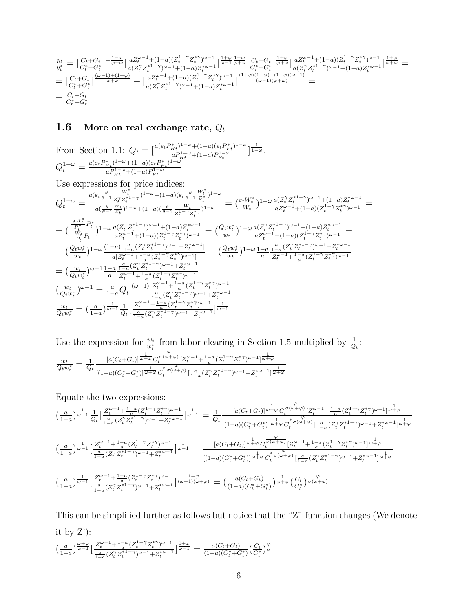$$
\begin{array}{l} \frac{y_{t}}{y_{t}^{*}} = \left[\frac{C_{t}+G_{t}}{C_{t}^{*}+G_{t}^{*}}\right]^{-\frac{1-\omega}{\varphi+\omega}}\left[\frac{aZ_{t}^{\omega-1}+(1-a)(Z_{t}^{1-\gamma}Z_{t}^{*\gamma})^{\omega-1}}{a(Z_{t}^{\gamma}Z_{t}^{*1-\gamma})^{\omega-1}+(1-a)Z_{t}^{*\omega-1}}\right]^{\frac{1+\varphi}{\omega-1}}\frac{1-\omega}{\varphi+\omega}\left[\frac{C_{t}+G_{t}}{C_{t}^{*}+G_{t}^{*}}\right]^{\frac{1+\varphi}{\varphi+\omega}}\left[\frac{aZ_{t}^{\omega-1}+(1-a)(Z_{t}^{1-\gamma}Z_{t}^{*\gamma})^{\omega-1}}{a(Z_{t}^{\gamma}Z_{t}^{*1-\gamma})^{\omega-1}+(1-a)Z_{t}^{*\omega-1}}\right]^{\frac{1+\varphi}{\varphi+\omega}}\\ = \frac{[C_{t}+G_{t}}{C_{t}^{*}+G_{t}^{*}}\left]^{\frac{(\omega-1)+(1+\varphi)}{\varphi+\omega}}+\left[\frac{aZ_{t}^{\omega-1}+(1-a)(Z_{t}^{1-\gamma}Z_{t}^{*\gamma})^{\omega-1}}{a(Z_{t}^{\gamma}Z_{t}^{*1-\gamma})^{\omega-1}+(1-a)Z_{t}^{*\omega-1}}\right]^{\frac{(1+\varphi)(1-\omega)+(1+\varphi)(\omega-1)}{(\omega-1)(\varphi+\omega)}}=\\ =\frac{C_{t}+G_{t}}{C_{t}^{*}+G_{t}^{*}} \end{array}
$$

### **1.6** More on real exchange rate,  $Q_t$

From Section 1.1: 
$$
Q_t = \left[\frac{a(\varepsilon_t P_{Ht}^*)^{1-\omega} + (1-a)(\varepsilon_t P_{Ft}^*)^{1-\omega}}{a P_{Ht}^{1-\omega} + (1-a) P_{Ft}^{1-\omega}}\right] \frac{1}{1-\omega}
$$
.  
\n $Q_t^{1-\omega} = \frac{a(\varepsilon_t P_{Ht}^*)^{1-\omega} + (1-a)(\varepsilon_t P_{Ft}^*)^{1-\omega}}{a P_{Ht}^{1-\omega} + (1-a) P_{Ft}^{1-\omega}}$ 

Use expressions for price indices:

$$
\begin{split} &Q_{t}^{1-\omega}=\frac{a(\varepsilon_{t}\frac{\theta}{\theta-1}\frac{W_{t}^{*}}{Z_{t}^{2}Z_{t}^{*1-\gamma}})^{1-\omega}+(1-a)(\varepsilon_{t}\frac{\theta}{\theta-1}\frac{W_{t}^{*}}{Z_{t}^{*}})^{1-\omega}}{z_{t}^{1-\gamma}Z_{t}^{*}}\\ &=\frac{a(\frac{\theta}{\theta-1}\frac{W_{t}}{Z_{t}})^{1-\omega}+(1-a)(\frac{\theta}{\theta-1}\frac{W_{t}}{Z_{t}^{1-\gamma}Z_{t}^{*}})^{1-\omega}}{z_{t}^{1-\gamma}Z_{t}^{*}}\\ &=\big(\frac{\frac{\varepsilon_{t}W_{t}^{*}}{W_{t}^{*}}P_{t}^{*}}{P_{t}^{*}}\big)^{1-\omega}\frac{a(Z_{t}^{2}Z_{t}^{*1-\gamma})^{\omega-1}+(1-a)Z_{t}^{*}\omega-1}{aZ_{t}^{\omega-1}+(1-a)(Z_{t}^{1-\gamma}Z_{t}^{*})^{\omega-1}}=\big(\frac{Q_{t}w_{t}^{*}}{w_{t}}\big)^{1-\omega}\frac{a(Z_{t}^{2}Z_{t}^{*1-\gamma})^{\omega-1}+(1-a)Z_{t}^{*}\omega-1}{aZ_{t}^{\omega-1}+(1-a)(Z_{t}^{1-\gamma}Z_{t}^{*})^{\omega-1}}\\ &=\big(\frac{Q_{t}w_{t}^{*}}{w_{t}}\big)^{1-\omega}\frac{(1-a)\left[\frac{a}{1-a}(Z_{t}^{2}Z_{t}^{*1-\gamma})^{\omega-1}+Z_{t}^{*}\omega-1\right]}{a[Z_{t}^{2}-\gamma}=\big(\frac{Q_{t}w_{t}^{*}}{w_{t}}\big)^{1-\omega}\frac{1-a}{a}\frac{\frac{a}{1-a}(Z_{t}^{2}Z_{t}^{*1-\gamma})^{\omega-1}+Z_{t}^{*}\omega-1}{aZ_{t}^{\omega-1}+\frac{1-a}{a}(Z_{t}^{1-\gamma}Z_{t}^{*})^{\omega-1}}\big)\\ &=\big(\frac{w_{t}}{Q_{t}w_{t}^{*}}\big)^{\omega-1}\frac{1-a}{a}\frac{\frac{a}{1-a}(Z_{t}^{2}Z_{t}^{*1-\gamma})^{\omega-1}+Z_{t}^{*}\omega-1}{\
$$

Use the expression for  $\frac{w_t}{w_t^*}$  from labor-clearing in Section 1.5 multiplied by  $\frac{1}{Q_t}$ .  $\frac{w_t}{Q_t w_t^*} = \frac{1}{Q}$  $Q_t$  $[a(C_t+G_t)]^{\frac{1}{\omega+\varphi}}C$  $\frac{\varphi}{\sigma(\omega+\varphi)}\left[Z_t^{\omega-1}\!+\!\tfrac{1-a}{a}(Z_t^{1-\gamma}Z_t^{*\gamma})^{\omega-1}\right]\overline{\omega+\varphi}$  $\frac{1}{[(1-a)(C_t^*+G_t^*)]^{\frac{1}{\omega+\varphi}}C_t^*{\sigma(\omega+\varphi)}\frac{q}{[\frac{a}{1-a}(Z_t^{\gamma}Z_t^{*1-\gamma})^{\omega-1}+Z_t^{*\omega-1}]^{\frac{1}{\omega+\varphi}}}$ 

Equate the two expressions:

$$
\left(\frac{a}{1-a}\right)^{\frac{1}{\omega-1}}\frac{1}{Q_t}\left[\frac{Z_t^{\omega-1}+\frac{1-a}{a}(Z_t^{1-\gamma}Z_t^{*\gamma})^{\omega-1}}{\frac{1-a}{1-a}(Z_t^{\gamma}Z_t^{*1-\gamma})^{\omega-1}+Z_t^{*\omega-1}}\right]^{\frac{1}{\omega-1}}=\frac{1}{Q_t}\frac{[a(C_t+G_t)]^{\frac{1}{\omega+\varphi}}C_t^{\frac{\varphi}{\sigma(\omega+\varphi)}}[Z_t^{\omega-1}+\frac{1-a}{a}(Z_t^{1-\gamma}Z_t^{*\gamma})^{\omega-1}]^{\frac{1}{\omega+\varphi}}}{[(1-a)(C_t^*+G_t^*)]^{\frac{1}{\omega+\varphi}}C_t^{\frac{\varphi}{\sigma(\omega+\varphi)}}\left[\frac{a}{1-a}(Z_t^{\gamma}Z_t^{*1-\gamma})^{\omega-1}+Z_t^{*\omega-1}\right]^{\frac{1}{\omega+\varphi}}}
$$

$$
\left(\frac{a}{1-a}\right)^{\frac{1}{\omega-1}}\left[\frac{Z_t^{\omega-1}+\frac{1-a}{a}(Z_t^{1-\gamma}Z_t^{*\gamma})^{\omega-1}}{(\frac{a}{1-a}(Z_t^{\gamma}Z_t^{*1-\gamma})^{\omega-1}+Z_t^{*\omega-1}}\right]^{\frac{1}{\omega-1}}=\frac{[a(C_t+G_t)]^{\frac{1}{\omega+\varphi}}C_t^{\frac{\varphi}{\sigma(\omega+\varphi)}}[Z_t^{\omega-1}+\frac{1-a}{a}(Z_t^{1-\gamma}Z_t^{*\gamma})^{\omega-1}]^{\frac{1}{\omega+\varphi}}}{[(1-a)(C_t^*+G_t^*)]^{\frac{1}{\omega+\varphi}}C_t^{\frac{\varphi}{\sigma(\omega+\varphi)}}\left[\frac{a}{1-a}(Z_t^{\gamma}Z_t^{*1-\gamma})^{\omega-1}+Z_t^{*\omega-1}\right]^{\frac{1}{\omega+\varphi}}}
$$

$$
\left(\frac{a}{1-a}\right)^{\frac{1}{\omega-1}}\left[\frac{Z_t^{\omega-1}+\frac{1-a}{a}(Z_t^{1-\gamma}Z_t^{*\gamma})^{\omega-1}}{(\frac{1-a}{1-a}(Z_t^{\gamma}Z_t^{*1-\gamma})^{\omega-1}+Z_t^{*\omega-1}}\right]^{\frac{1+\varphi}{(\omega-1)(\omega+\varphi)}}=\left(\frac{a(C_t+G_t)}{(1-a)(C
$$

This can be simplified further as follows but notice that the "Z" function changes (We denote it by Z'):

$$
\textstyle \big(\frac{a}{1-a}\big)^{\frac{\omega+\varphi}{\omega-1}} \big[\frac{Z_t^{\omega-1}+ \frac{1-a}{a}(Z_t^{1-\gamma}Z_t^{*\gamma})^{\omega-1}}{\frac{a}{1-a}(Z_t^{\gamma}Z_t^{*\,1-\gamma})^{\omega-1}+Z_t^{*\omega-1}} \big]^{\frac{1+\varphi}{\omega-1}} = \frac{a(C_t+G_t)}{(1-a)(C_t^*+G_t^*)} \textstyle \big(\frac{C_t}{C_t^*}\big)^\frac{\varphi}{\sigma}
$$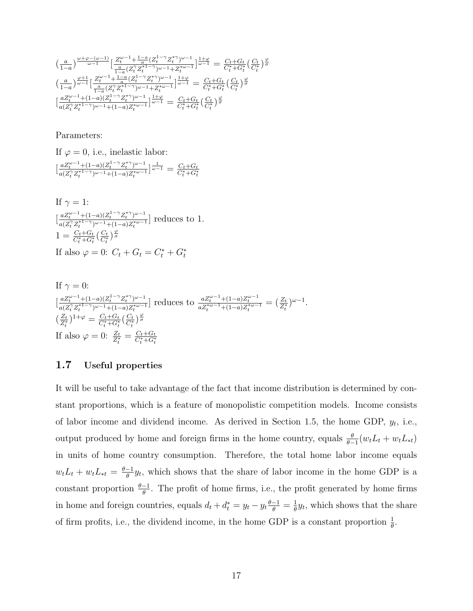$$
\begin{array}{l} \left(\frac{a}{1-a}\right)^{\frac{\omega+\varphi-(\omega-1)}{\omega-1}} \big[ \frac{Z^{\omega-1}_t + \frac{1-a}{a}(Z^{1-\gamma}_t Z^{*\gamma}_t)^{\omega-1}}{1-a(Z^{2}_t Z^{*1-\gamma}_t)^{\omega-1} + Z^{*\omega-1}_t} \big]^{\frac{1+\varphi}{\omega-1}} = \frac{C_t + G_t}{C^*_t + G^*_t} \big(\frac{C_t}{C^*_t}\big)^{\frac{\varphi}{\sigma}} \\ \left(\frac{a}{1-a}\right)^{\frac{\varphi+1}{\omega-1}} \big[ \frac{Z^{\omega-1}_t + \frac{1-a}{a}(Z^{1-\gamma}_t Z^{*\gamma}_t)^{\omega-1}}{1-a(Z^{2}_t Z^{*1-\gamma}_t)^{\omega-1} + Z^{*\omega-1}_t} \big]^{\frac{1+\varphi}{\omega-1}} = \frac{C_t + G_t}{C^*_t + G^*_t} \big(\frac{C_t}{C^*_t}\big)^{\frac{\varphi}{\sigma}} \\ \big[ \frac{aZ^{\omega-1}_t + (1-a)(Z^{1-\gamma}_t Z^{*\gamma}_t)^{\omega-1}}{a(Z^{2}_t Z^{*1-\gamma}_t)^{\omega-1} + (1-a)Z^{*\omega-1}_t} \big]^{\frac{1+\varphi}{\omega-1}} = \frac{C_t + G_t}{C^*_t + G^*_t} \big(\frac{C_t}{C^*_t}\big)^{\frac{\varphi}{\sigma}} \end{array}
$$

Parameters:

If  $\varphi = 0$ , i.e., inelastic labor:  $\frac{aZ_t^{\omega-1}+(1-a)(Z_t^{1-\gamma}Z_t^{*\gamma})^{\omega-1}}{e(Z_t^{2\gamma}Z_t^{*1-\gamma})^{\omega-1}+(1-a)Z_t^{*\omega-1}}$  $\frac{aZ_t^{\omega-1}+(1-a)(Z_t^{1-\gamma}Z_t^{*\gamma})^{\omega-1}}{a(Z_t^{\gamma}Z_t^{*1-\gamma})^{\omega-1}+(1-a)Z_t^{*\omega-1}}\Big\vert\frac{1}{\omega-1} = \frac{C_t+C_t}{C_t^*+G_t^*}$ 

If 
$$
\gamma = 1
$$
:  
\n
$$
\left[\frac{aZ_t^{\omega-1} + (1-a)(Z_t^{1-\gamma}Z_t^{*\gamma})^{\omega-1}}{a(Z_t^{\gamma}Z_t^{*1-\gamma})^{\omega-1} + (1-a)Z_t^{*\omega-1}}\right]
$$
 reduces to  $1$ .  
\n
$$
1 = \frac{C_t + G_t}{C_t^* + G_t^*} \left(\frac{C_t}{C_t^*}\right)^{\frac{\omega}{\sigma}}
$$
  
\nIf also  $\varphi = 0$ :  $C_t + G_t = C_t^* + G_t^*$ 

If 
$$
\gamma = 0
$$
:  
\n
$$
\left[\frac{aZ_t^{\omega-1} + (1-a)(Z_t^{1-\gamma} Z_t^{*\gamma})^{\omega-1}}{a(Z_t^{\gamma} Z_t^{*1-\gamma})^{\omega-1} + (1-a)Z_t^{*\omega-1}}\right]
$$
 reduces to 
$$
\frac{aZ_t^{\omega-1} + (1-a)Z_t^{\omega-1}}{aZ_t^{*\omega-1} + (1-a)Z_t^{*\omega-1}} = \left(\frac{Z_t}{Z_t^*}\right)^{\omega-1}.
$$
\n
$$
\left(\frac{Z_t}{Z_t^*}\right)^{1+\varphi} = \frac{C_t + G_t}{C_t^* + G_t^*} \left(\frac{C_t}{C_t^*}\right)^{\frac{\varphi}{\sigma}}
$$
\nIf also  $\varphi = 0$ :  $\frac{Z_t}{Z_t^*} = \frac{C_t + G_t}{C_t^* + G_t^*}$ 

#### 1.7 Useful properties

It will be useful to take advantage of the fact that income distribution is determined by constant proportions, which is a feature of monopolistic competition models. Income consists of labor income and dividend income. As derived in Section 1.5, the home GDP,  $y_t$ , i.e., output produced by home and foreign firms in the home country, equals  $\frac{\theta}{\theta-1}(w_t L_t + w_t L_{*t})$ in units of home country consumption. Therefore, the total home labor income equals  $w_t L_t + w_t L_{*t} = \frac{\theta - 1}{\theta}$  $\frac{-1}{\theta}$  y<sub>t</sub>, which shows that the share of labor income in the home GDP is a constant proportion  $\frac{\theta-1}{\theta}$ . The profit of home firms, i.e., the profit generated by home firms in home and foreign countries, equals  $d_t + d_t^* = y_t - y_t \frac{\theta - 1}{\theta} = \frac{1}{\theta}$  $\frac{1}{\theta}y_t$ , which shows that the share of firm profits, i.e., the dividend income, in the home GDP is a constant proportion  $\frac{1}{\theta}$ .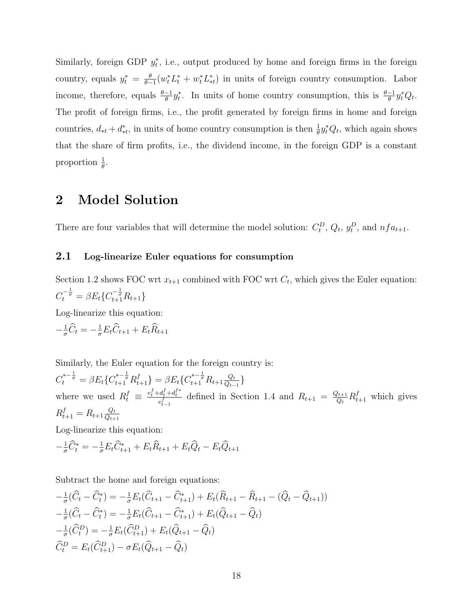Similarly, foreign GDP  $y_t^*$ , i.e., output produced by home and foreign firms in the foreign country, equals  $y_t^* = \frac{\theta}{\theta - \epsilon}$  $\frac{\theta}{\theta-1}(w_t^*L_t^*+w_t^*L_{*t}^*)$  in units of foreign country consumption. Labor income, therefore, equals  $\frac{\theta-1}{\theta}y_t^*$ . In units of home country consumption, this is  $\frac{\theta-1}{\theta}y_t^*Q_t$ . The profit of foreign firms, i.e., the profit generated by foreign firms in home and foreign countries,  $d_{*t} + d_{*t}^*$ , in units of home country consumption is then  $\frac{1}{\theta} y_t^* Q_t$ , which again shows that the share of firm profits, i.e., the dividend income, in the foreign GDP is a constant proportion  $\frac{1}{\theta}$ .

### 2 Model Solution

There are four variables that will determine the model solution:  $C_t^D$ ,  $Q_t$ ,  $y_t^D$ , and  $nf_{a_{t+1}}$ .

#### 2.1 Log-linearize Euler equations for consumption

Section 1.2 shows FOC wrt  $x_{t+1}$  combined with FOC wrt  $C_t$ , which gives the Euler equation:  $C_t^{-\frac{1}{\sigma}} = \beta E_t \{ C_{t+1}^{-\frac{1}{\sigma}} R_{t+1} \}$ 

Log-linearize this equation:

 $-\frac{1}{\sigma}\widehat{C}_t = -\frac{1}{\sigma}E_t\widehat{C}_{t+1} + E_t\widehat{R}_{t+1}$ 

Similarly, the Euler equation for the foreign country is:

 $C_t^{*-\frac{1}{\sigma}} = \beta E_t \{ C_{t+1}^{*-\frac{1}{\sigma}} R_{t+1}^f \} = \beta E_t \{ C_{t+1}^{*-\frac{1}{\sigma}} R_{t+1} \frac{Q_t}{Q_{t-1}} \}$  $\frac{Q_t}{Q_{t-1}}\}$ where we used  $R_t^f \equiv \frac{v_t^f + d_t^f + d_t^{f*}}{v_{t-1}^f}$  defined in Section 1.4 and  $R_{t+1} = \frac{Q_{t+1}}{Q_t}$  $\frac{Q_{t+1}}{Q_t}R_{t+1}^f$  which gives  $R_{t+1}^f = R_{t+1} \frac{Q_t}{Q_{t+1}}$  $Q_{t+1}$ 

Log-linearize this equation:

$$
-\frac{1}{\sigma}\widehat{C}_t^* = -\frac{1}{\sigma}E_t\widehat{C}_{t+1}^* + E_t\widehat{R}_{t+1} + E_t\widehat{Q}_t - E_t\widehat{Q}_{t+1}
$$

Subtract the home and foreign equations:

$$
-\frac{1}{\sigma}(\widehat{C}_t - \widehat{C}_t^*) = -\frac{1}{\sigma}E_t(\widehat{C}_{t+1} - \widehat{C}_{t+1}^*) + E_t(\widehat{R}_{t+1} - \widehat{R}_{t+1} - (\widehat{Q}_t - \widehat{Q}_{t+1}))
$$
  

$$
-\frac{1}{\sigma}(\widehat{C}_t - \widehat{C}_t^*) = -\frac{1}{\sigma}E_t(\widehat{C}_{t+1} - \widehat{C}_{t+1}^*) + E_t(\widehat{Q}_{t+1} - \widehat{Q}_t)
$$
  

$$
-\frac{1}{\sigma}(\widehat{C}_t^D) = -\frac{1}{\sigma}E_t(\widehat{C}_{t+1}^D) + E_t(\widehat{Q}_{t+1} - \widehat{Q}_t)
$$
  

$$
\widehat{C}_t^D = E_t(\widehat{C}_{t+1}^D) - \sigma E_t(\widehat{Q}_{t+1} - \widehat{Q}_t)
$$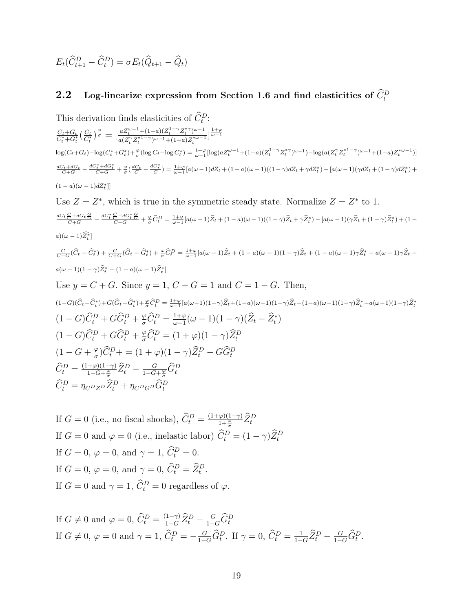$$
E_t(\widehat{C}_{t+1}^D - \widehat{C}_t^D) = \sigma E_t(\widehat{Q}_{t+1} - \widehat{Q}_t)
$$

### **2.2** Log-linearize expression from Section 1.6 and find elasticities of  $\widehat{C}_{t}^{D}$

This derivation finds elasticities of  $\widehat{C}_t^D$ :  $\frac{C_t + G_t}{C_t^* + G_t^*} (\frac{C_t}{C_t^*})^{\frac{\varphi}{\sigma}} = \left[\frac{a Z_t^{\omega-1} + (1-a)(Z_t^{1-\gamma} Z_t^{*\gamma})^{\omega-1}}{a(Z_t^\gamma Z_t^{*1-\gamma})^{\omega-1} + (1-a)Z_t^{*\omega-1}}\right]$  $\frac{a Z_t^{\omega-1}+(1-a) (Z_t^{1-\gamma} Z_t^{*\gamma})^{\omega-1}}{a (Z_t^{\gamma} Z_t^{*1-\gamma})^{\omega-1}+(1-a) Z_t^{*\omega-1}} \Big\}^{\frac{1+\varphi}{\omega-1}}$  $\log(C_t + G_t) - \log(C_t^* + G_t^*) + \frac{\varphi}{\sigma} (\log C_t - \log C_t^*) = \frac{1+\varphi}{\omega-1} [\log (a Z_t^{\omega-1} + (1-a)(Z_t^{1-\gamma} Z_t^{*\gamma})^{\omega-1}) - \log (a (Z_t^{\gamma} Z_t^{*1-\gamma})^{\omega-1} + (1-a) Z_t^{*\omega-1})]$  $\begin{array}{l} \frac{dC_t+dG_t}{C+G}-\frac{dC_t^*+dG_t^*}{C+G}+\frac{\varphi}{\sigma}(\frac{dC_t}{C}-\frac{dC_t^*}{C})=\frac{1+\varphi}{\omega-1}[a(\omega-1)dZ_t+(1-a)(\omega-1)((1-\gamma)dZ_t+\gamma dZ_t^*)-[a(\omega-1)(\gamma dZ_t+(1-\gamma)dZ_t^*)+\\ \end{array}$  $(1 - a)(\omega - 1)dZ_t^*$ ] Use  $Z = Z^*$ , which is true in the symmetric steady state. Normalize  $Z = Z^*$  to 1.  $\begin{array}{l} \frac{dC_t}{C} \frac{C}{C} + dG_t \frac{G}{C} } = \frac{dC_t^*}{C+G} - \frac{dC_t^*}{C+G} + \frac{\varphi}{\sigma} \widehat{C}_t^D = \frac{1+\varphi}{\omega-1} [a(\omega-1)\widehat{Z}_t + (1-a)(\omega-1)((1-\gamma)\widehat{Z}_t + \gamma \widehat{Z}_t^*) - [a(\omega-1)(\gamma\widehat{Z}_t + (1-\gamma)\widehat{Z}_t^*) + (1-a)(\gamma\widehat{Z}_t^* + (1-\gamma)\widehat{Z}_t^*) ] \end{array}$  $a)(\omega - 1)\widehat{Z_t^*}$  $\frac{C}{C+G}(\widehat{C}_t - \widehat{C}_t^*) + \frac{G}{C+G}(\widehat{G}_t - \widehat{G}_t^*) + \frac{\varphi}{\sigma}\widehat{C}_t^D = \frac{1+\varphi}{\omega-1}[a(\omega-1)\widehat{Z}_t + (1-a)(\omega-1)(1-\gamma)\widehat{Z}_t + (1-a)(\omega-1)\gamma\widehat{Z}_t^* - a(\omega-1)\gamma\widehat{Z}_t - \frac{1-\varphi}{\omega-1}\widehat{C}_t^*$  $a(\omega - 1)(1 - \gamma)\widehat{Z}_t^* - (1 - a)(\omega - 1)\widehat{Z}_t^*$ Use  $y = C + G$ . Since  $y = 1, C + G = 1$  and  $C = 1 - G$ . Then,  $(1-G)(\widehat{C}_t - \widehat{C}_t^*) + G(\widehat{G}_t - \widehat{G}_t^*) + \frac{\varphi}{\sigma} \widehat{C}_t^D = \frac{1+\varphi}{\omega-1} [a(\omega-1)(1-\gamma)\widehat{Z}_t + (1-a)(\omega-1)(1-\gamma)\widehat{Z}_t - (1-a)(\omega-1)(1-\gamma)\widehat{Z}_t^* - a(\omega-1)(1-\gamma)\widehat{Z}_t^*$  $(1-G)\widehat{C}_t^D + G\widehat{G}_t^D + \frac{\varphi}{\sigma}\widehat{C}_t^D = \frac{1+\varphi}{\omega-1}$  $\frac{1+\varphi}{\omega-1}(\omega-1)(1-\gamma)(\widehat{Z}_t-\widehat{Z}_t^*)$  $(1-G)\widehat{C}_t^D + G\widehat{G}_t^D + \frac{\varphi}{\sigma}\widehat{C}_t^D = (1+\varphi)(1-\gamma)\widehat{Z}_t^D$  $(1-G+\frac{\varphi}{\sigma})$  $\mathcal{L}_{\sigma}^{\varphi}\big)\widehat{C}_{t}^{D} + = (1+\varphi)(1-\gamma)\widehat{Z}_{t}^{D} - G\widehat{G}_{t}^{D}$  $\widehat{C}_{t}^{D}=\frac{(1+\varphi)(1-\gamma)}{1-G+\frac{\varphi}{\sigma}}$  $\frac{1+\varphi)(1-\gamma)}{1-G+\frac{\varphi}{\sigma}}\widehat{Z}_{t}^{D}-\frac{G}{1-G}$  $\frac{G}{1-G+\frac{\varphi}{\sigma}}\hat{G}_{t}^{D}$  $\widehat{C}_t^D = \eta_{C^D Z^D} \widehat{Z}_t^D + \eta_{C^D G^D} \widehat{G}_t^D$ 

If  $G = 0$  (i.e., no fiscal shocks),  $\widehat{C}_t^D = \frac{(1+\varphi)(1-\gamma)}{1+\frac{\varphi}{\sigma}} \widehat{Z}_t^D$ If  $G = 0$  and  $\varphi = 0$  (i.e., inelastic labor)  $\hat{C}_t^D = (1 - \gamma)\hat{Z}_t^D$ If  $G = 0, \, \varphi = 0, \text{ and } \gamma = 1, \, \tilde{C}_t^D = 0.$ If  $G = 0$ ,  $\varphi = 0$ , and  $\gamma = 0$ ,  $\widehat{C}_t^D = \widehat{Z}_t^D$ . If  $G = 0$  and  $\gamma = 1$ ,  $\hat{C}_t^D = 0$  regardless of  $\varphi$ .

If 
$$
G \neq 0
$$
 and  $\varphi = 0$ ,  $\widehat{C}_t^D = \frac{(1-\gamma)}{1-G} \widehat{Z}_t^D - \frac{G}{1-G} \widehat{G}_t^D$   
If  $G \neq 0$ ,  $\varphi = 0$  and  $\gamma = 1$ ,  $\widehat{C}_t^D = -\frac{G}{1-G} \widehat{G}_t^D$ . If  $\gamma = 0$ ,  $\widehat{C}_t^D = \frac{1}{1-G} \widehat{Z}_t^D - \frac{G}{1-G} \widehat{G}_t^D$ .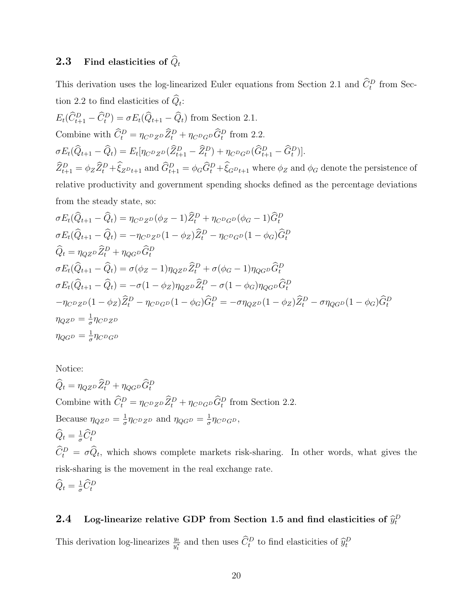### **2.3** Find elasticities of  $\widehat{Q}_t$

This derivation uses the log-linearized Euler equations from Section 2.1 and  $\hat{C}_t^D$  from Section 2.2 to find elasticities of  $Q_t$ :

$$
E_t(\widehat{C}_{t+1}^D - \widehat{C}_t^D) = \sigma E_t(\widehat{Q}_{t+1} - \widehat{Q}_t)
$$
 from Section 2.1.  
Combine with  $\widehat{C}_t^D = \eta_{C^D Z^D} \widehat{Z}_t^D + \eta_{C^D G^D} \widehat{G}_t^D$  from 2.2.  

$$
\sigma E_t(\widehat{Q}_{t+1} - \widehat{Q}_t) = E_t[\eta_{C^D Z^D}(\widehat{Z}_{t+1}^D - \widehat{Z}_t^D) + \eta_{C^D G^D}(\widehat{G}_{t+1}^D - \widehat{G}_t^D)].
$$

$$
\widehat{Z}_{t+1}^D = \phi_Z \widehat{Z}_t^D + \widehat{\xi}_{Z^D t+1}
$$
 and  $\widehat{G}_{t+1}^D = \phi_G \widehat{G}_t^D + \widehat{\xi}_{G^D t+1}$  where  $\phi_Z$  and  $\phi_G$  denote the persistence of relative productivity and government spending shocks defined as the percentage deviations from the steady state, so:

$$
\sigma E_t(\hat{Q}_{t+1} - \hat{Q}_t) = \eta_{CDZD}(\phi_Z - 1)\hat{Z}_t^D + \eta_{CDGD}(\phi_G - 1)\hat{G}_t^D
$$
  
\n
$$
\sigma E_t(\hat{Q}_{t+1} - \hat{Q}_t) = -\eta_{CDZD}(1 - \phi_Z)\hat{Z}_t^D - \eta_{CDGD}(1 - \phi_G)\hat{G}_t^D
$$
  
\n
$$
\hat{Q}_t = \eta_{QZD}\hat{Z}_t^D + \eta_{QGD}\hat{G}_t^D
$$
  
\n
$$
\sigma E_t(\hat{Q}_{t+1} - \hat{Q}_t) = \sigma(\phi_Z - 1)\eta_{QZD}\hat{Z}_t^D + \sigma(\phi_G - 1)\eta_{QGD}\hat{G}_t^D
$$
  
\n
$$
\sigma E_t(\hat{Q}_{t+1} - \hat{Q}_t) = -\sigma(1 - \phi_Z)\eta_{QZD}\hat{Z}_t^D - \sigma(1 - \phi_G)\eta_{QGD}\hat{G}_t^D
$$
  
\n
$$
-\eta_{CDZD}(1 - \phi_Z)\hat{Z}_t^D - \eta_{CDGD}(1 - \phi_G)\hat{G}_t^D = -\sigma\eta_{QZD}(1 - \phi_Z)\hat{Z}_t^D - \sigma\eta_{QGD}(1 - \phi_G)\hat{G}_t^D
$$
  
\n
$$
\eta_{QZD} = \frac{1}{\sigma}\eta_{CDZD}
$$
  
\n
$$
\eta_{QGD} = \frac{1}{\sigma}\eta_{CDGD}
$$

Notice:

 $\hat{Q}_t = \eta_{QZ^D} \hat{Z}_t^D + \eta_{QG^D} \hat{G}_t^D$ Combine with  $\hat{C}_t^D = \eta_{C^D Z^D} \hat{Z}_t^D + \eta_{C^D G^D} \hat{G}_t^D$  from Section 2.2. Because  $\eta_{QZ} = \frac{1}{\sigma}$  $\frac{1}{\sigma} \eta_{C^D Z^D}$  and  $\eta_{QG^D} = \frac{1}{\sigma}$  $\frac{1}{\sigma} \eta_{C^D G^D},$  $\widehat{Q}_t = \frac{1}{\sigma} \widehat{C}_t^D$  $\hat{C}_t^D = \sigma \hat{Q}_t$ , which shows complete markets risk-sharing. In other words, what gives the risk-sharing is the movement in the real exchange rate.  $\widehat{Q}_t = \frac{1}{\sigma} \widehat{C}_t^D$ 

## **2.4** Log-linearize relative GDP from Section 1.5 and find elasticities of  $\hat{y}_t^D$

This derivation log-linearizes  $\frac{y_t}{y_t^*}$  and then uses  $\widehat{C}_t^D$  to find elasticities of  $\widehat{y}_t^D$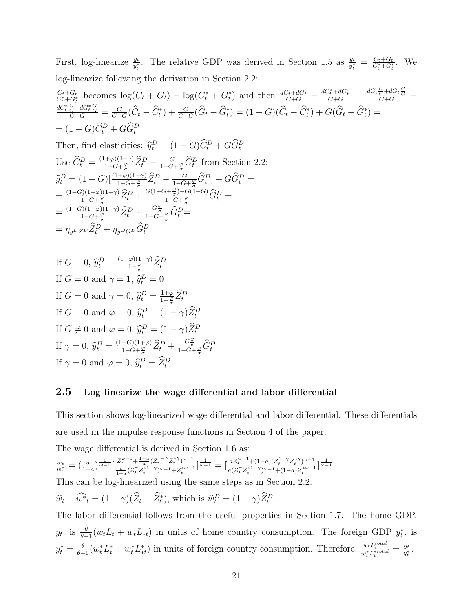First, log-linearize  $\frac{y_t}{y_t^*}$ . The relative GDP was derived in Section 1.5 as  $\frac{y_t}{y_t^*} = \frac{C_t + G_t}{C_t^* + G_t^*}$ . We log-linearize following the derivation in Section 2.2:

$$
\frac{C_t + G_t}{C_t^* + G_t^*}
$$
 becomes  $\log(C_t + G_t) - \log(C_t^* + G_t^*)$  and then  $\frac{dC_t + dG_t}{C + G} - \frac{dC_t^* + dG_t^*}{C + G} = \frac{dC_t C_t^* + G_t^*}{C + G}$   
\n $\frac{dC_t^* C_t^* + dG_t^* G_t^*}{C + G} = \frac{C}{C + G}(\hat{C}_t - \hat{C}_t^*) + \frac{G}{C + G}(\hat{G}_t - \hat{G}_t^*) = (1 - G)(\hat{C}_t - \hat{C}_t^*) + G(\hat{G}_t - \hat{G}_t^*) =$   
\n $= (1 - G)\hat{C}_t^D + G\hat{G}_t^D$   
\nThen, find elasticities:  $\hat{y}_t^D = (1 - G)\hat{C}_t^D + G\hat{G}_t^D$   
\nUse  $\hat{C}_t^D = \frac{(1 + \varphi)(1 - \gamma)}{1 - G + \varphi} \hat{Z}_t^D - \frac{G}{1 - G + \varphi} \hat{G}_t^D$  from Section 2.2:  
\n $\hat{y}_t^D = (1 - G)[\frac{(1 + \varphi)(1 - \gamma)}{1 - G + \varphi} \hat{Z}_t^D - \frac{G}{1 - G + \varphi} \hat{G}_t^D] + G\hat{G}_t^D =$   
\n $= \frac{(1 - G)(1 + \varphi)(1 - \gamma)}{1 - G + \varphi} \hat{Z}_t^D + \frac{G(1 - G + \varphi)}{1 - G + \varphi} - G(1 - G)}\hat{G}_t^D =$   
\n $= \frac{(1 - G)(1 + \varphi)(1 - \gamma)}{1 - G + \varphi} \hat{Z}_t^D + \frac{G_t^*}{1 - G + \varphi} \hat{G}_t^D =$   
\n $= \eta_y \circ z \circ \hat{Z}_t^D + \eta_y \circ \circ \hat{G}_t^D$ 

If 
$$
G = 0
$$
,  $\hat{y}_t^D = \frac{(1+\varphi)(1-\gamma)}{1+\frac{\varphi}{\sigma}} \hat{Z}_t^D$   
\nIf  $G = 0$  and  $\gamma = 1$ ,  $\hat{y}_t^D = 0$   
\nIf  $G = 0$  and  $\gamma = 0$ ,  $\hat{y}_t^D = \frac{1+\varphi}{1+\frac{\varphi}{\sigma}} \hat{Z}_t^D$   
\nIf  $G = 0$  and  $\varphi = 0$ ,  $\hat{y}_t^D = (1-\gamma)\hat{Z}_t^D$   
\nIf  $G \neq 0$  and  $\varphi = 0$ ,  $\hat{y}_t^D = (1-\gamma)\hat{Z}_t^D$   
\nIf  $\gamma = 0$ ,  $\hat{y}_t^D = \frac{(1-G)(1+\varphi)}{1-G+\frac{\varphi}{\sigma}} \hat{Z}_t^D + \frac{G\frac{\varphi}{\sigma}}{1-G+\frac{\varphi}{\sigma}} \hat{G}_t^D$   
\nIf  $\gamma = 0$  and  $\varphi = 0$ ,  $\hat{y}_t^D = \hat{Z}_t^D$ 

#### 2.5 Log-linearize the wage differential and labor differential

This section shows log-linearized wage differential and labor differential. These differentials are used in the impulse response functions in Section 4 of the paper.

The wage differential is derived in Section 1.6 as:

$$
\tfrac{w_t}{w_t^*} = \big(\tfrac{a}{1-a}\big)^{\tfrac{1}{\omega-1}} \big[ \tfrac{Z_t^{\omega-1} + \tfrac{1-a}{a}(Z_t^{1-\gamma}Z_t^{*\gamma})^{\omega-1}}{ \tfrac{a}{1-a}(Z_t^{\gamma}Z_t^{*1-\gamma})^{\omega-1} + Z_t^{*\omega-1}} \big] ^{\tfrac{1}{\omega-1}} = \big[ \tfrac{aZ_t^{\omega-1} + (1-a)(Z_t^{1-\gamma}Z_t^{*\gamma})^{\omega-1}}{a(Z_t^{\gamma}Z_t^{*1-\gamma})^{\omega-1} + (1-a)Z_t^{*\omega-1}} \big] ^{\tfrac{1}{\omega-1}}
$$

This can be log-linearized using the same steps as in Section 2.2:

$$
\widehat{w}_t - \widehat{w^*}_t = (1 - \gamma)(\widehat{Z}_t - \widehat{Z}_t^*), \text{ which is } \widehat{w}_t^D = (1 - \gamma)\widehat{Z}_t^D.
$$

The labor differential follows from the useful properties in Section 1.7. The home GDP,  $y_t$ , is  $\frac{\theta}{\theta-1}(w_t L_t + w_t L_{*t})$  in units of home country consumption. The foreign GDP  $y_t^*$ , is  $y_t^* = \frac{\theta}{\theta -}$  $\frac{\theta}{\theta-1}(w_t^*L_t^*+w_t^*L_{*t}^*)$  in units of foreign country consumption. Therefore,  $\frac{w_tL_t^{total}}{w_t^*L_t^{*total}}=\frac{y_t}{y_t^*}$  $\frac{y_t}{y_t^*}$ .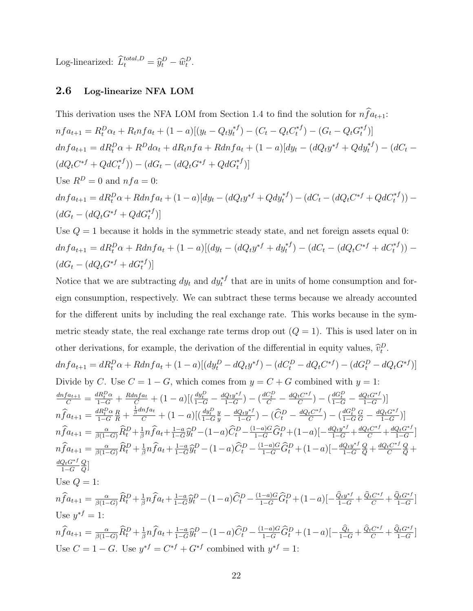Log-linearized:  $\hat{L}_t^{total,D} = \hat{y}_t^D - \hat{w}_t^D$ .

#### 2.6 Log-linearize NFA LOM

This derivation uses the NFA LOM from Section 1.4 to find the solution for  $n\hat{f}a_{t+1}$ :  $nf a_{t+1} = R_t^D \alpha_t + R_t n f a_t + (1 - a) [(y_t - Q_t y_t^{*T})]$  $t^{*f}) - (C_t - Q_t C_t^{*f})$  $(t_t^{*f}) - (G_t - Q_t G_t^{*f})$  $_{t}^{\ast f})]$  $dnfa_{t+1} = dR_t^D\alpha + R^Dd\alpha_t + dR_tnf_a + Rdnfa_t + (1-a)[dy_t - (dQ_ty^{*f} + Qdy_t^{*f}) - (dC_t (dQ_t C^{*f} + Q d C_t^{*f})) - (dG_t - (dQ_t G^{*f} + Q d G_t^{*f}))$ Use  $R^D = 0$  and  $nfa = 0$ :  $dnfa_{t+1} = dR_t^D\alpha + Rdnfa_t + (1-a)[dy_t - (dQ_ty^{*f} + Qdy_t^{*f}) - (dC_t - (dQ_tC^{*f} + QdC_t^{*f})) (dG_t - (dQ_t G^{*f} + Q dG_t^{*f})]$ 

Use  $Q = 1$  because it holds in the symmetric steady state, and net foreign assets equal 0:  $dnfa_{t+1} = dR_t^D\alpha + Rdnfa_t + (1-a)[(dy_t - (dQ_ty^{*f} + dy_t^{*f}) - (dC_t - (dQ_tC^{*f} + dC_t^{*f})) (dG_t - (dQ_t G^{*f} + dG_t^{*f})]$ 

Notice that we are subtracting  $dy_t$  and  $dy_t^{*f}$  that are in units of home consumption and foreign consumption, respectively. We can subtract these terms because we already accounted for the different units by including the real exchange rate. This works because in the symmetric steady state, the real exchange rate terms drop out  $(Q = 1)$ . This is used later on in other derivations, for example, the derivation of the differential in equity values,  $\hat{v}_t^D$ .

$$
dnfa_{t+1} = dR_t^D \alpha + Rdnfa_t + (1 - a)[(dy_t^D - dQ_t y^{*f}) - (dC_t^D - dQ_t C^{*f}) - (dG_t^D - dQ_t G^{*f})]
$$
  
\nDivide by C. Use  $C = 1 - G$ , which comes from  $y = C + G$  combined with  $y = 1$ :  
\n
$$
\frac{dnfa_{t+1}}{C} = \frac{dR_t^D \alpha}{1 - G} + \frac{Rdnfa_t}{C} + (1 - a)[(\frac{dy_t^D}{1 - G} - \frac{dQ_t y^{*f}}{1 - G}) - (\frac{dC_t^D}{C} - \frac{dQ_t C^{*f}}{C}) - (\frac{dG_t^D}{1 - G} - \frac{dQ_t G^{*f}}{1 - G})]
$$
  
\n
$$
n\hat{f}a_{t+1} = \frac{dR_t^D \alpha}{1 - G} \frac{R}{R} + \frac{\frac{1}{\beta}dnfa_t}{C} + (1 - a)[(\frac{dy_t^D}{1 - G}y - \frac{dQ_t y^{*f}}{1 - G}) - (\hat{C}_t^D - \frac{dQ_t C^{*f}}{C}) - (\frac{dG_t^D}{1 - G} \frac{G}{G} - \frac{dQ_t G^{*f}}{1 - G})]
$$
  
\n
$$
n\hat{f}a_{t+1} = \frac{\alpha}{\beta(1 - G)} \hat{R}_t^D + \frac{1}{\beta} n\hat{f}a_t + \frac{1 - a}{1 - G} \hat{y}_t^D - (1 - a)\hat{C}_t^D - \frac{(1 - a)G}{1 - G} \hat{G}_t^D + (1 - a)[-\frac{dQ_t y^{*f}}{1 - G} + \frac{dQ_t C^{*f}}{1 - G} + \frac{dQ_t C^{*f}}{1 - G} \frac{Q}{Q} + \frac{dQ_t C^{*f}}{1 - G} \frac{Q}{Q} + \frac{dQ_t C^{*f}}{1 - G} \frac{Q}{Q} + \frac{dQ_t C^{*f}}{1 - G} \frac{Q}{Q} + \frac{dQ_t C^{*f}}{1 - G} \frac{Q}{Q}
$$

Use 
$$
Q = 1
$$
:

$$
n\hat{f}a_{t+1} = \frac{\alpha}{\beta(1-G)}\hat{R}_t^D + \frac{1}{\beta}n\hat{f}a_t + \frac{1-\alpha}{1-G}\hat{y}_t^D - (1-a)\hat{C}_t^D - \frac{(1-a)G}{1-G}\hat{G}_t^D + (1-a)\left[-\frac{\hat{Q}_ty^{*f}}{1-G} + \frac{\hat{Q}_tC^{*f}}{C} + \frac{\hat{Q}_tC^{*f}}{1-G}\right]
$$
  
Use  $y^{*f} = 1$ :  

$$
n\hat{f}a_{t+1} = \frac{\alpha}{\beta(1-G)}\hat{R}_t^D + \frac{1}{\beta}n\hat{f}a_t + \frac{1-\alpha}{1-G}\hat{y}_t^D - (1-a)\hat{C}_t^D - \frac{(1-a)G}{1-G}\hat{G}_t^D + (1-a)\left[-\frac{\hat{Q}_t}{1-G} + \frac{\hat{Q}_tC^{*f}}{C} + \frac{\hat{Q}_tC^{*f}}{1-G}\right]
$$
  
Use  $C = 1 - G$ . Use  $y^{*f} = C^{*f} + G^{*f}$  combined with  $y^{*f} = 1$ :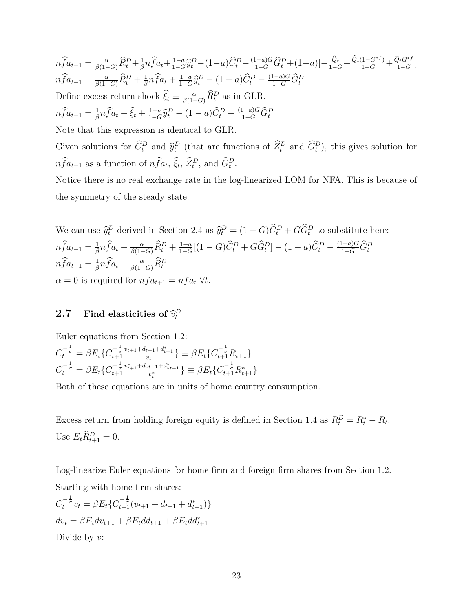$n\widehat{f}a_{t+1} = \frac{\alpha}{\beta(1-G)}\widehat{R}_t^D + \frac{1}{\beta}$  $\frac{1}{\beta} n \widehat{f} a_t + \frac{1-a}{1-G}$  $\frac{1-a}{1-G}\widehat{y}_{t}^{D}-(1-a)\widehat{C}_{t}^{D}-\frac{(1-a)G}{1-G}\widehat{G}_{t}^{D}+(1-a)[-\frac{\widehat{Q}_{t}}{1-G}+\frac{\widehat{Q}_{t}(1-G^{\ast}f)}{1-G}+\frac{\widehat{Q}_{t}G^{\ast}f}{1-G}]$  $n\widehat{f}a_{t+1} = \frac{\alpha}{\beta(1-G)}\widehat{R}_t^D + \frac{1}{\beta}$  $\frac{1}{\beta}n\widehat{f}a_t + \frac{1-a}{1-G}$  $\frac{1-a}{1-G}\hat{y}_t^D - (1-a)\hat{C}_t^D - \frac{(1-a)G}{1-G}\hat{G}_t^D$ Define excess return shock  $\hat{\xi}_t \equiv \frac{\alpha}{\beta(1-G)} \hat{R}_t^D$  as in GLR.  $n\widehat{f}a_{t+1}=\frac{1}{\beta}$  $\frac{1}{\beta}n\widehat{f}a_t + \widehat{\xi}_t + \frac{1-a}{1-G}$  $\frac{1-a}{1-G}\hat{y}_t^D - (1-a)\hat{C}_t^D - \frac{(1-a)G}{1-G}\hat{G}_t^D$ Note that this expression is identical to GLR.

Given solutions for  $\hat{C}_t^D$  and  $\hat{y}_t^D$  (that are functions of  $\hat{Z}_t^D$  and  $\hat{G}_t^D$ ), this gives solution for  $nfa_{t+1}$  as a function of  $nfa_t$ ,  $\hat{\xi}_t$ ,  $\hat{Z}_t^D$ , and  $\hat{G}_t^D$ .

Notice there is no real exchange rate in the log-linearized LOM for NFA. This is because of the symmetry of the steady state.

We can use 
$$
\hat{y}_t^D
$$
 derived in Section 2.4 as  $\hat{y}_t^D = (1 - G)\hat{C}_t^D + G\hat{G}_t^D$  to substitute here:  
\n $n\hat{f}a_{t+1} = \frac{1}{\beta}n\hat{f}a_t + \frac{\alpha}{\beta(1-G)}\hat{R}_t^D + \frac{1-\alpha}{1-G}[(1-G)\hat{C}_t^D + G\hat{G}_t^D] - (1 - a)\hat{C}_t^D - \frac{(1-a)G}{1-G}\hat{G}_t^D$   
\n $n\hat{f}a_{t+1} = \frac{1}{\beta}n\hat{f}a_t + \frac{\alpha}{\beta(1-G)}\hat{R}_t^D$   
\n $\alpha = 0$  is required for  $nfa_{t+1} = nfa_t$   $\forall t$ .

## **2.7** Find elasticities of  $\widehat{v}_t^D$

Euler equations from Section 1.2:  $C_t^{-\frac{1}{\sigma}}$  $t^{-\frac{1}{\sigma}} = \beta E_t \{ C_{t+1}^{-\frac{1}{\sigma}} \frac{v_{t+1} + d_{t+1} + d_{t+1}^*}{v_t} \} \equiv \beta E_t \{ C_{t+1}^{-\frac{1}{\sigma}} R_{t+1} \}$ 

$$
C_t^{\frac{1}{\sigma}} = \beta E_t \{ C_{t+1}^{\frac{1}{\sigma}} \frac{v_t}{v_t} \} \equiv \beta E_t \{ C_{t+1}^{\frac{1}{\sigma}} R_{t+1} \}
$$
  

$$
C_t^{-\frac{1}{\sigma}} = \beta E_t \{ C_{t+1}^{-\frac{1}{\sigma}} \frac{v_{t+1}^* + d_{t+1} + d_{t+1}^*}{v_t^*} \} \equiv \beta E_t \{ C_{t+1}^{-\frac{1}{\sigma}} R_{t+1}^* \}
$$

Both of these equations are in units of home country consumption.

Excess return from holding foreign equity is defined in Section 1.4 as  $R_t^D = R_t^* - R_t$ . Use  $E_t \hat{R}_{t+1}^D = 0.$ 

Log-linearize Euler equations for home firm and foreign firm shares from Section 1.2. Starting with home firm shares:

$$
C_t^{-\frac{1}{\sigma}} v_t = \beta E_t \{ C_{t+1}^{-\frac{1}{\sigma}} (v_{t+1} + d_{t+1} + d_{t+1}^*) \}
$$
  
\n
$$
dv_t = \beta E_t dv_{t+1} + \beta E_t dd_{t+1} + \beta E_t dd_{t+1}^*
$$
  
\nDivide by  $v$ :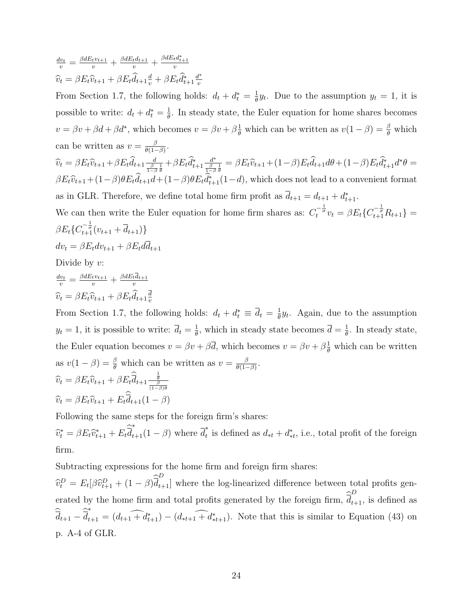$$
\frac{dv_t}{v} = \frac{\beta dE_t v_{t+1}}{v} + \frac{\beta dE_t d_{t+1}}{v} + \frac{\beta dE_t d_{t+1}^*}{v}
$$

$$
\hat{v}_t = \beta E_t \hat{v}_{t+1} + \beta E_t \hat{d}_{t+1} \frac{d}{v} + \beta E_t \hat{d}_{t+1}^* \frac{d^*}{v}
$$

From Section 1.7, the following holds:  $d_t + d_t^* = \frac{1}{\theta}$  $\frac{1}{\theta}y_t$ . Due to the assumption  $y_t = 1$ , it is possible to write:  $d_t + d_t^* = \frac{1}{\theta}$  $\frac{1}{\theta}$ . In steady state, the Euler equation for home shares becomes  $v = \beta v + \beta d + \beta d^*$ , which becomes  $v = \beta v + \beta \frac{1}{\theta}$  which can be written as  $v(1 - \beta) = \frac{\beta}{\theta}$  which can be written as  $v = \frac{\beta}{\theta(1-\beta)}$  $\frac{\beta}{\theta(1-\beta)}$ .  $\widehat{v}_t = \beta E_t \widehat{v}_{t+1} + \beta E_t \widehat{d}_{t+1} \frac{d}{\frac{\beta}{1-\beta}\frac{1}{\theta}} + \beta E_t \widehat{d}_{t+1}^* \frac{d^*}{\frac{\beta}{1-\beta}}$  $\frac{d^*}{\frac{\beta}{1-\beta}\frac{1}{\theta}}=\beta E_t\widehat{v}_{t+1}+(1-\beta)E_t\widehat{d}_{t+1}d\theta+(1-\beta)E_t\widehat{d}_{t+1}^*d^*\theta=$  $\beta E_t\hat{v}_{t+1} + (1-\beta)\theta E_t\hat{d}_{t+1} + (1-\beta)\theta E_t\hat{d}_{t+1}^*(1-d)$ , which does not lead to a convenient format as in GLR. Therefore, we define total home firm profit as  $\overline{d}_{t+1} = d_{t+1} + d_{t+1}^*$ . We can then write the Euler equation for home firm shares as:  $C_t^{-\frac{1}{\sigma}}v_t = \beta E_t \{C_{t+1}^{-\frac{1}{\sigma}} R_{t+1}\}$  $\beta E_t \{ C_{t+1}^{-\frac{1}{\sigma}} (v_{t+1} + \overline{d}_{t+1}) \}$  $dv_t = \beta E_t dv_{t+1} + \beta E_t d\overline{d}_{t+1}$ 

Divide by  $v$ :

$$
\frac{dv_t}{v} = \frac{\beta dE_t v_{t+1}}{v} + \frac{\beta dE_t \overline{d}_{t+1}}{v}
$$

$$
\widehat{v}_t = \beta E_t \widehat{v}_{t+1} + \beta E_t \widehat{d}_{t+1} \frac{\overline{d}}{v}
$$

From Section 1.7, the following holds:  $d_t + d_t^* \equiv \overline{d}_t = \frac{1}{\theta}$  $\frac{1}{\theta}y_t$ . Again, due to the assumption  $y_t = 1$ , it is possible to write:  $\overline{d}_t = \frac{1}{\theta}$  $\frac{1}{\theta}$ , which in steady state becomes  $\overline{d} = \frac{1}{\theta}$  $\frac{1}{\theta}$ . In steady state, the Euler equation becomes  $v = \beta v + \beta \overline{d}$ , which becomes  $v = \beta v + \beta \frac{1}{\theta}$  which can be written as  $v(1-\beta) = \frac{\beta}{\theta}$  which can be written as  $v = \frac{\beta}{\theta(1-\beta)}$  $\frac{\beta}{\theta(1-\beta)}$ .  $\widehat{v}_t = \beta E_t \widehat{v}_{t+1} + \beta E_t \widehat{\overline{d}}_{t+1} \frac{\frac{1}{\theta}}{\frac{\beta}{(1-\beta)\theta}}$  $\widehat{v}_t = \beta E_t \widehat{v}_{t+1} + E_t \overline{d}_{t+1} (1 - \beta)$ 

Following the same steps for the foreign firm's shares:

 $\widehat{v}_t^* = \beta E_t \widehat{v}_{t+1}^* + E_t \overline{d}$ <sup>\*</sup><sub>t+1</sub>(1 –  $\beta$ ) where  $\overline{d}_t^*$ <sup>\*</sup><sub>t</sub> is defined as  $d_{*t} + d_{*t}^*$ , i.e., total profit of the foreign firm.

Subtracting expressions for the home firm and foreign firm shares:

 $\hat{v}_t^D = E_t[\beta \hat{v}_{t+1}^D + (1-\beta) \hat{d}_{t+1}^D]$  where the log-linearized difference between total profits generated by the home firm and total profits generated by the foreign firm,  $\hat{d}_{t+1}^D$ , is defined as  $d_{t+1} - d$ ∗  $t_{t+1} = (d_{t+1} + d_{t+1}^*) - (d_{*t+1} + d_{*t+1}^*)$ . Note that this is similar to Equation (43) on p. A-4 of GLR.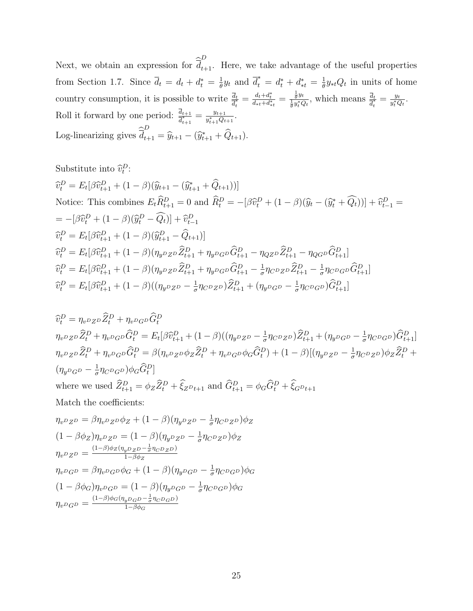Next, we obtain an expression for  $\hat{d}_{t+1}^D$ . Here, we take advantage of the useful properties from Section 1.7. Since  $\overline{d}_t = d_t + d_t^* = \frac{1}{\theta}$  $\frac{1}{\theta}y_t$  and  $\overline{d}_t^* = d_t^* + d_{*t}^* = \frac{1}{\theta}$  $\frac{1}{\theta} y_{*t} Q_t$  in units of home country consumption, it is possible to write  $\frac{\overline{d}_t}{\overline{d}_t^*} = \frac{d_t + d_t^*}{d_{*t} + d_{*t}^*} = \frac{\frac{1}{\theta} y_t}{\frac{1}{\theta} y_t^* Q_t}$ , which means  $\frac{\overline{d}_t}{\overline{d}_t^*} = \frac{y_t}{y_t^* Q_t}$  $\frac{y_t}{y_t^* Q_t}$ . Roll it forward by one period:  $\frac{d_{t+1}}{d_{t+1}^*} = \frac{y_{t+1}}{y_{t+1}^*Q_t}$  $\frac{y_{t+1}}{y_{t+1}^*Q_{t+1}}.$ Log-linearizing gives  $\widehat{\overline{d}}_{t+1}^D = \widehat{y}_{t+1} - (\widehat{y}_{t+1}^* + \widehat{Q}_{t+1}).$ 

Substitute into  $\widehat{v}_t^D$ :

$$
\hat{v}_{t}^{D} = E_{t}[\beta \hat{v}_{t+1}^{D} + (1 - \beta)(\hat{y}_{t+1} - (\hat{y}_{t+1}^{*} + \hat{Q}_{t+1}))]
$$
  
Notice: This combines  $E_{t}\hat{R}_{t+1}^{D} = 0$  and  $\hat{R}_{t}^{D} = -[\beta \hat{v}_{t}^{D} + (1 - \beta)(\hat{y}_{t} - (\hat{y}_{t}^{*} + \hat{Q}_{t}))] + \hat{v}_{t-1}^{D} =$   

$$
= -[\beta \hat{v}_{t}^{D} + (1 - \beta)(\hat{y}_{t}^{D} - \hat{Q}_{t})] + \hat{v}_{t-1}^{D}
$$
  

$$
\hat{v}_{t}^{D} = E_{t}[\beta \hat{v}_{t+1}^{D} + (1 - \beta)(\hat{y}_{t+1}^{D} - \hat{Q}_{t+1})]
$$
  

$$
\hat{v}_{t}^{D} = E_{t}[\beta \hat{v}_{t+1}^{D} + (1 - \beta)(\eta_{y^{D}Z^{D}}\hat{Z}_{t+1}^{D} + \eta_{y^{D}G^{D}}\hat{G}_{t+1}^{D} - \eta_{QZ^{D}}\hat{Z}_{t+1}^{D} - \eta_{QG^{D}}\hat{G}_{t+1}^{D}]
$$
  

$$
\hat{v}_{t}^{D} = E_{t}[\beta \hat{v}_{t+1}^{D} + (1 - \beta)(\eta_{y^{D}Z^{D}}\hat{Z}_{t+1}^{D} + \eta_{y^{D}G^{D}}\hat{G}_{t+1}^{D} - \frac{1}{\sigma}\eta_{C^{D}Z^{D}}\hat{Z}_{t+1}^{D} - \frac{1}{\sigma}\eta_{C^{D}G^{D}}\hat{G}_{t+1}^{D}]
$$
  

$$
\hat{v}_{t}^{D} = E_{t}[\beta \hat{v}_{t+1}^{D} + (1 - \beta)((\eta_{y^{D}Z^{D}} - \frac{1}{\sigma}\eta_{C^{D}Z^{D}})\hat{Z}_{t+1}^{D} + (\eta_{y^{D}G^{D}} - \frac{1}{\sigma}\eta_{C^{D}G^{D}})\hat{G}_{t+1}^{D}]
$$

$$
\hat{v}_t^D = \eta_{v^D Z^D} \hat{Z}_t^D + \eta_{v^D G^D} \hat{G}_t^D
$$
\n
$$
\eta_{v^D Z^D} \hat{Z}_t^D + \eta_{v^D G^D} \hat{G}_t^D = E_t[\beta \hat{v}_{t+1}^D + (1-\beta)((\eta_{y^D Z^D} - \frac{1}{\sigma} \eta_{C^D Z^D}) \hat{Z}_{t+1}^D + (\eta_{y^D G^D} - \frac{1}{\sigma} \eta_{C^D G^D}) \hat{G}_{t+1}^D]
$$
\n
$$
\eta_{v^D Z^D} \hat{Z}_t^D + \eta_{v^D G^D} \hat{G}_t^D = \beta(\eta_{v^D Z^D} \phi_Z \hat{Z}_t^D + \eta_{v^D G^D} \phi_G \hat{G}_t^D) + (1-\beta)[(\eta_{y^D Z^D} - \frac{1}{\sigma} \eta_{C^D Z^D}) \phi_Z \hat{Z}_t^D + (\eta_{y^D G^D} - \frac{1}{\sigma} \eta_{C^D G^D}) \phi_Z \hat{Z}_t^D]
$$
\nwhere we used  $\hat{Z}_{t+1}^D = \phi_Z \hat{Z}_t^D + \hat{\xi}_{Z^D t+1}$  and  $\hat{G}_{t+1}^D = \phi_G \hat{G}_t^D + \hat{\xi}_{G^D t+1}$   
\nMatch the coefficients:  
\n
$$
\eta_{v^D Z^D} = \beta \eta_{v^D Z^D} \phi_Z + (1-\beta)(\eta_{y^D Z^D} - \frac{1}{\sigma} \eta_{C^D Z^D}) \phi_Z
$$
\n
$$
(1-\beta)_{v^D = 0} \qquad (1-\beta)_{v^D = 0} \qquad (1-\beta)_{v^D = 0} \qquad (1-\beta)_{v^D = 0} \qquad (1-\beta)_{v^D = 0} \qquad (1-\beta)_{v^D = 0} \qquad (1-\beta)_{v^D = 0} \qquad (1-\beta)_{v^D = 0} \qquad (1-\beta)_{v^D = 0} \qquad (1-\beta)_{v^D = 0} \qquad (1-\beta)_{v^D = 0} \qquad (1-\beta)_{v^D = 0} \qquad (1-\beta)_{v^D = 0} \qquad (
$$

$$
(1 - \beta \phi_Z) \eta_{v^D Z^D} = (1 - \beta) (\eta_{y^D Z^D} - \frac{1}{\sigma} \eta_{C^D Z^D}) \phi_Z \n\eta_{v^D Z^D} = \frac{(1 - \beta) \phi_Z (\eta_{v^D Z^D} - \frac{1}{\sigma} \eta_{C^D Z^D})}{1 - \beta \phi_Z} \n\eta_{v^D G^D} = \beta \eta_{v^D G^D} \phi_G + (1 - \beta) (\eta_{y^D G^D} - \frac{1}{\sigma} \eta_{C^D G^D}) \phi_G \n(1 - \beta \phi_G) \eta_{v^D G^D} = (1 - \beta) (\eta_{y^D G^D} - \frac{1}{\sigma} \eta_{C^D G^D}) \phi_G \n\eta_{v^D G^D} = \frac{(1 - \beta) \phi_G (\eta_{y^D G^D} - \frac{1}{\sigma} \eta_{C^D G^D})}{1 - \beta \phi_G}
$$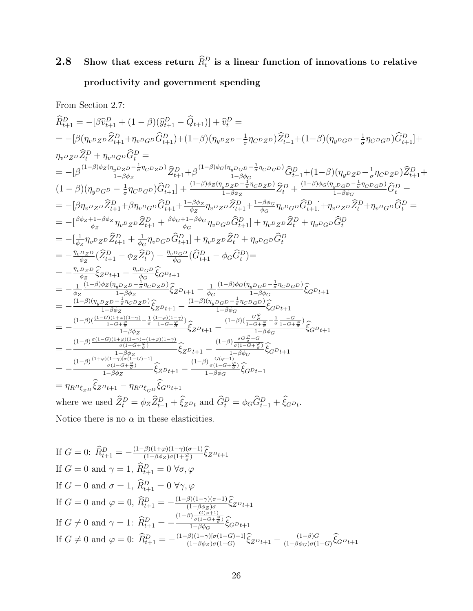## 2.8 Show that excess return  $\widehat{R}_{t}^{D}$  is a linear function of innovations to relative productivity and government spending

From Section 2.7:

$$
\begin{split}\n\hat{R}^{D}_{t+1} &= -[\beta \hat{v}_{t+1}^{D} + (1-\beta)(\hat{y}_{t+1}^{D} - \hat{Q}_{t+1})] + \hat{v}_{t}^{D} = \\
&= -[\beta(\eta_{v}p_{Z}p\hat{Z}_{t+1}^{D} + \eta_{v}p_{G}p\hat{G}_{t+1}^{D}) + (1-\beta)(\eta_{y}p_{Z}p - \frac{1}{\sigma}\eta_{G}p_{Z}p)\hat{Z}_{t+1}^{D} + (1-\beta)(\eta_{y}p_{G}p - \frac{1}{\sigma}\eta_{G}p_{G}p)\hat{G}_{t+1}^{D}) + \\
\eta_{v}p_{Z}p\hat{Z}_{t}^{D} + \eta_{v}p_{G}p\hat{G}_{t}^{D} = \\
&= -[\beta\frac{(1-\beta)\phi_{Z}(\eta_{y}p_{Z}p - \frac{1}{\sigma}\eta_{G}p_{Z}p)}{1-\beta\phi_{Z}}\hat{Z}_{t+1}^{D} + \beta\frac{(1-\beta)\phi_{G}(\eta_{y}p_{G}p - \frac{1}{\sigma}\eta_{G}p_{G}p)}{1-\beta\phi_{Z}}\hat{G}_{t+1}^{D} + (1-\beta)(\eta_{y}p_{Z}p - \frac{1}{\sigma}\eta_{G}p_{Z}p)\hat{Z}_{t+1}^{D} + \\
(1-\beta)(\eta_{y}p_{G}p - \frac{1}{\sigma}\eta_{G}p_{G}p)\hat{G}_{t+1}^{D}] + \frac{(1-\beta)\phi_{Z}(\eta_{y}p_{Z}p - \frac{1}{\sigma}\eta_{G}p_{G}p)}{1-\beta\phi_{Z}}\hat{Z}_{t}^{D} + \frac{(1-\beta)\phi_{G}(\eta_{y}p_{G}p - \frac{1}{\sigma}\eta_{G}p_{G}p)}{1-\beta\phi_{G}}\hat{G}_{t}^{D} = \\
&= -[\beta\eta_{v}p_{Z}p\hat{Z}_{t+1}^{D} + \beta\eta_{v}p_{G}p\hat{G}_{t+1}^{D} + \frac{1-\beta\phi_{Z}}{\phi_{Z}}\eta_{v}p_{Z}p\hat{Z}_{t+1}^{D} + \frac{1-\beta\phi_{G}}{\phi_{G}}\eta_{v}p_{G}p\hat{G}_{t+1}^{D}) + \eta_{v}p_{Z}p\hat{Z}_{t}^{D} +
$$

If 
$$
G = 0
$$
:  $\widehat{R}_{t+1}^D = -\frac{(1-\beta)(1+\varphi)(1-\gamma)(\sigma-1)}{(1-\beta\phi_Z)\sigma(1+\frac{\varphi}{\sigma})}\widehat{\xi}_Z p_{t+1}$   
\nIf  $G = 0$  and  $\gamma = 1$ ,  $\widehat{R}_{t+1}^D = 0$   $\forall \sigma, \varphi$   
\nIf  $G = 0$  and  $\sigma = 1$ ,  $\widehat{R}_{t+1}^D = 0$   $\forall \gamma, \varphi$   
\nIf  $G = 0$  and  $\varphi = 0$ ,  $\widehat{R}_{t+1}^D = -\frac{(1-\beta)(1-\gamma)(\sigma-1)}{(1-\beta\phi_Z)\sigma}\widehat{\xi}_Z p_{t+1}$   
\nIf  $G \neq 0$  and  $\gamma = 1$ :  $\widehat{R}_{t+1}^D = -\frac{(1-\beta)\frac{G(\varphi+1)}{\sigma(1-G+\frac{\varphi}{\sigma})}}{1-\beta\phi_G}\widehat{\xi}_G p_{t+1}$   
\nIf  $G \neq 0$  and  $\varphi = 0$ :  $\widehat{R}_{t+1}^D = -\frac{(1-\beta)(1-\gamma)[\sigma(1-G)-1]}{(1-\beta\phi_Z)\sigma(1-G)}\widehat{\xi}_Z p_{t+1} - \frac{(1-\beta)G}{(1-\beta\phi_G)\sigma(1-G)}\widehat{\xi}_G p_{t+1}$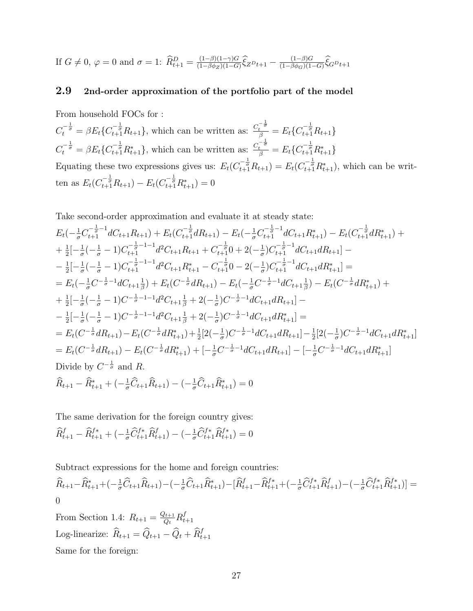If  $G \neq 0$ ,  $\varphi = 0$  and  $\sigma = 1$ :  $\widehat{R}_{t+1}^D = \frac{(1-\beta)(1-\gamma)G}{(1-\beta\phi_Z)(1-G)}$  $\frac{(1-\beta)(1-\gamma)G}{(1-\beta\phi_Z)(1-G)}\hat{\xi}_Z^D_{t+1} - \frac{(1-\beta)G}{(1-\beta\phi_G)(1-G)}$  $\frac{(1-\beta)G}{(1-\beta\phi_G)(1-G)}\xi_G D_{t+1}$ 

#### 2.9 2nd-order approximation of the portfolio part of the model

From household FOCs for :  $C_t^{-\frac{1}{\sigma}} = \beta E_t \{ C_{t+1}^{-\frac{1}{\sigma}} R_{t+1} \}$ , which can be written as:  $\frac{C_t^{-\frac{1}{\sigma}}}{\beta} = E_t \{ C_{t+1}^{-\frac{1}{\sigma}} R_{t+1} \}$  $C_t^{-\frac{1}{\sigma}} = \beta E_t \{ C_{t+1}^{-\frac{1}{\sigma}} R_{t+1}^* \}$ , which can be written as:  $\frac{C_t^{-\frac{1}{\sigma}}}{\beta} = E_t \{ C_{t+1}^{-\frac{1}{\sigma}} R_{t+1}^* \}$ Equating these two expressions gives us:  $E_t(C_{t+1}^{-\frac{1}{q}} R_{t+1}) = E_t(C_{t+1}^{-\frac{1}{q}} R_{t+1}^*)$ , which can be written as  $E_t(C_{t+1}^{-\frac{1}{\sigma}}R_{t+1}) - E_t(C_{t+1}^{-\frac{1}{\sigma}}R_{t+1}^*) = 0$ 

Take second-order approximation and evaluate it at steady state:

$$
E_{t}(-\frac{1}{\sigma}C_{t+1}^{-\frac{1}{\sigma}-1}dC_{t+1}R_{t+1}) + E_{t}(C_{t+1}^{-\frac{1}{\sigma}}dR_{t+1}) - E_{t}(-\frac{1}{\sigma}C_{t+1}^{-\frac{1}{\sigma}-1}dC_{t+1}R_{t+1}^{*}) - E_{t}(C_{t+1}^{-\frac{1}{\sigma}}dR_{t+1}^{*}) +
$$
  
\n
$$
+ \frac{1}{2}[-\frac{1}{\sigma}(-\frac{1}{\sigma}-1)C_{t+1}^{-\frac{1}{\sigma}-1-1}d^{2}C_{t+1}R_{t+1} + C_{t+1}^{-\frac{1}{\sigma}}0 + 2(-\frac{1}{\sigma})C_{t+1}^{-\frac{1}{\sigma}-1}dC_{t+1}dR_{t+1}] -
$$
  
\n
$$
- \frac{1}{2}[-\frac{1}{\sigma}(-\frac{1}{\sigma}-1)C_{t+1}^{-\frac{1}{\sigma}-1-1}d^{2}C_{t+1}R_{t+1}^{*} - C_{t+1}^{-\frac{1}{\sigma}}0 - 2(-\frac{1}{\sigma})C_{t+1}^{-\frac{1}{\sigma}-1}dC_{t+1}dR_{t+1}] =
$$
  
\n
$$
= E_{t}(-\frac{1}{\sigma}C^{-\frac{1}{\sigma}-1}dC_{t+1}\frac{1}{\beta}) + E_{t}(C^{-\frac{1}{\sigma}}dR_{t+1}) - E_{t}(-\frac{1}{\sigma}C^{-\frac{1}{\sigma}-1}dC_{t+1}\frac{1}{\beta}) - E_{t}(C^{-\frac{1}{\sigma}}dR_{t+1}^{*}) +
$$
  
\n
$$
+ \frac{1}{2}[-\frac{1}{\sigma}(-\frac{1}{\sigma}-1)C^{-\frac{1}{\sigma}-1-1}d^{2}C_{t+1}\frac{1}{\beta} + 2(-\frac{1}{\sigma})C^{-\frac{1}{\sigma}-1}dC_{t+1}dR_{t+1}] -
$$
  
\n
$$
- \frac{1}{2}[-\frac{1}{\sigma}(-\frac{1}{\sigma}-1)C^{-\frac{1}{\sigma}-1-1}d^{2}C_{t+1}\frac{1}{\beta} + 2(-\frac{1}{\sigma})C^{-\
$$

The same derivation for the foreign country gives:

$$
\widehat{R}_{t+1}^f - \widehat{R}_{t+1}^{f*} + \left(-\frac{1}{\sigma}\widehat{C}_{t+1}^{f*}\widehat{R}_{t+1}^f\right) - \left(-\frac{1}{\sigma}\widehat{C}_{t+1}^{f*}\widehat{R}_{t+1}^{f*}\right) = 0
$$

Subtract expressions for the home and foreign countries:

$$
\widehat{R}_{t+1} - \widehat{R}_{t+1}^* + \left(-\frac{1}{\sigma}\widehat{C}_{t+1}\widehat{R}_{t+1}\right) - \left(-\frac{1}{\sigma}\widehat{C}_{t+1}\widehat{R}_{t+1}^*) - \left[\widehat{R}_{t+1}^f - \widehat{R}_{t+1}^{f*} + \left(-\frac{1}{\sigma}\widehat{C}_{t+1}^{f*}\widehat{R}_{t+1}^f\right) - \left(-\frac{1}{\sigma}\widehat{C}_{t+1}^{f*}\widehat{R}_{t+1}^{f*}\right)\right] = 0
$$

From Section 1.4:  $R_{t+1} = \frac{Q_{t+1}}{Q_t}$  $\frac{Q_{t+1}}{Q_t}R_t^f$  $t+1$ Log-linearize:  $\widehat{R}_{t+1} = \widehat{Q}_{t+1} - \widehat{Q}_t + \widehat{R}_{t+1}^f$ Same for the foreign: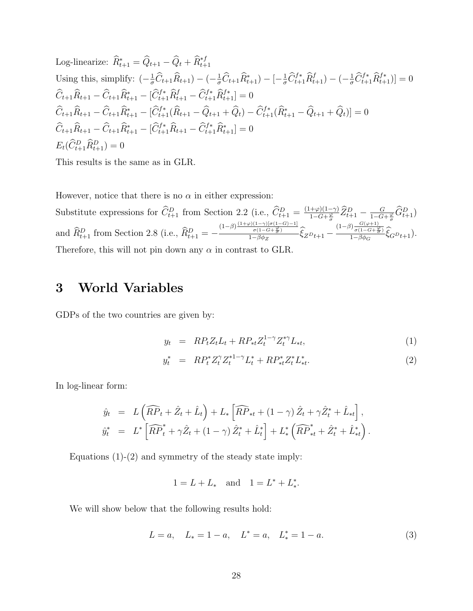Log-linearize:  $\widehat{R}_{t+1}^* = \widehat{Q}_{t+1} - \widehat{Q}_t + \widehat{R}_{t+1}^{*f}$ Using this, simplify:  $\left(-\frac{1}{\sigma}\hat{C}_{t+1}\hat{R}_{t+1}\right) - \left(-\frac{1}{\sigma}\hat{C}_{t+1}\hat{R}_{t+1}^*\right) - \left[-\frac{1}{\sigma}\hat{C}_{t+1}^{f*}\hat{R}_{t+1}^f\right) - \left(-\frac{1}{\sigma}\hat{C}_{t+1}^{f*}\hat{R}_{t+1}^{f*}\right)\right] = 0$  $\widehat{C}_{t+1}\widehat{R}_{t+1} - \widehat{C}_{t+1}\widehat{R}_{t+1}^* - [\widehat{C}_{t+1}^{f*}\widehat{R}_{t+1}^f - \widehat{C}_{t+1}^{f*}\widehat{R}_{t+1}^{f*}] = 0$  $\widehat{C}_{t+1}\widehat{R}_{t+1} - \widehat{C}_{t+1}\widehat{R}_{t+1}^* - [\widehat{C}_{t+1}^{f*}(\widehat{R}_{t+1} - \widehat{Q}_{t+1} + \widehat{Q}_t) - \widehat{C}_{t+1}^{f*}(\widehat{R}_{t+1}^* - \widehat{Q}_{t+1} + \widehat{Q}_t)] = 0$  $\widehat{C}_{t+1}\widehat{R}_{t+1} - \widehat{C}_{t+1}\widehat{R}_{t+1}^* - [\widehat{C}_{t+1}^{f*}\widehat{R}_{t+1} - \widehat{C}_{t+1}^{f*}\widehat{R}_{t+1}^*] = 0$  $E_t(\hat{C}_{t+1}^D \hat{R}_{t+1}^D) = 0$ 

This results is the same as in GLR.

However, notice that there is no  $\alpha$  in either expression:

Substitute expressions for  $\hat{C}_{t+1}^D$  from Section 2.2 (i.e.,  $\hat{C}_{t+1}^D = \frac{(1+\varphi)(1-\gamma)}{1-G+\frac{\varphi}{\sigma}}$  $\frac{(\pm\varphi)(1-\gamma)}{1-G+\frac{\varphi}{\sigma}}\widehat{Z}_{t+1}^D - \frac{G}{1-G}$  $\frac{G}{1-G+\frac{\varphi}{\sigma}}\widehat{G}_{t+1}^{D})$ and  $\hat{R}_{t+1}^D$  from Section 2.8 (i.e.,  $\hat{R}_{t+1}^D = -\frac{(1-\beta)\frac{(1+\varphi)(1-\gamma)\sigma(1-G)-1]}{\sigma(1-G+\frac{\varphi}{\sigma})}}{1-\beta\phi_Z}$  $\sigma(1-G+\frac{\varphi}{\sigma})$  $\frac{\frac{\sigma(1-\sigma)[\sigma(1-G)-1]}{\sigma(1-G+\frac{\varphi}{\sigma})}}{1-\beta\phi_Z} \hat{\zeta}_Z^D t_{+1} - \frac{\frac{(1-\beta)\frac{G(\varphi+1)}{\sigma(1-G+\frac{\varphi}{\sigma})}}{1-\beta\phi_G}$  $\frac{1}{\sigma(1-G+\frac{\varphi}{\sigma})}$  $\frac{\int_{0}^{t} \sigma(1-G+\frac{F}{\sigma})}{1-\beta\phi_{G}} \xi_{G}D_{t+1}).$ Therefore, this will not pin down any  $\alpha$  in contrast to GLR.

### 3 World Variables

GDPs of the two countries are given by:

$$
y_t = RP_t Z_t L_t + RP_{*t} Z_t^{1-\gamma} Z_t^{*\gamma} L_{*t}, \tag{1}
$$

$$
y_t^* = R P_t^* Z_t^{\gamma} Z_t^{*1-\gamma} L_t^* + R P_{*t}^* Z_t^* L_{*t}^*.
$$
\n
$$
(2)
$$

In log-linear form:

$$
\hat{y}_t = L \left( \widehat{RP}_t + \hat{Z}_t + \hat{L}_t \right) + L_* \left[ \widehat{RP}_{*t} + (1 - \gamma) \hat{Z}_t + \gamma \hat{Z}_t^* + \hat{L}_{*t} \right],
$$
  

$$
\hat{y}_t^* = L^* \left[ \widehat{RP}_t^* + \gamma \hat{Z}_t + (1 - \gamma) \hat{Z}_t^* + \hat{L}_t^* \right] + L_*^* \left( \widehat{RP}_{*t}^* + \hat{Z}_t^* + \hat{L}_{*t}^* \right).
$$

Equations  $(1)-(2)$  and symmetry of the steady state imply:

$$
1 = L + L_*
$$
 and  $1 = L^* + L_*^*$ .

We will show below that the following results hold:

$$
L = a, \quad L_* = 1 - a, \quad L^* = a, \quad L^* = 1 - a. \tag{3}
$$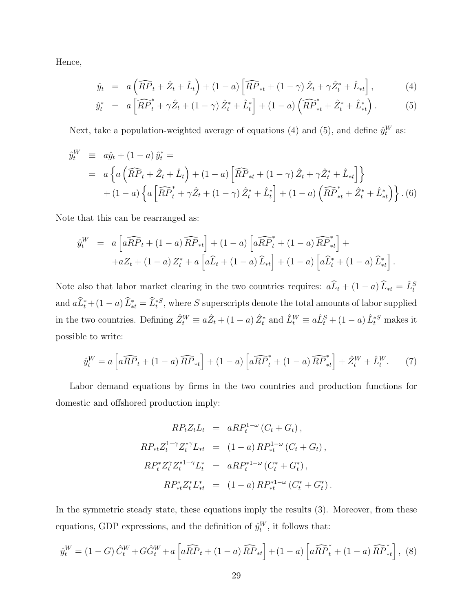Hence,

$$
\hat{y}_t = a\left(\widehat{RP}_t + \hat{Z}_t + \hat{L}_t\right) + (1 - a)\left[\widehat{RP}_{*t} + (1 - \gamma)\hat{Z}_t + \gamma\hat{Z}_t^* + \hat{L}_{*t}\right],\tag{4}
$$

$$
\hat{y}_t^* = a \left[ \widehat{RP}_t^* + \gamma \hat{Z}_t + (1 - \gamma) \, \hat{Z}_t^* + \hat{L}_t^* \right] + (1 - a) \left( \widehat{RP}_{*t}^* + \hat{Z}_t^* + \hat{L}_{*t}^* \right). \tag{5}
$$

Next, take a population-weighted average of equations (4) and (5), and define  $\hat{y}_t^W$  as:

$$
\hat{y}_{t}^{W} \equiv a\hat{y}_{t} + (1 - a)\hat{y}_{t}^{*} =
$$
\n
$$
= a\left\{ a\left(\widehat{RP}_{t} + \hat{Z}_{t} + \hat{L}_{t}\right) + (1 - a)\left[\widehat{RP}_{*t} + (1 - \gamma)\hat{Z}_{t} + \gamma\hat{Z}_{t}^{*} + \hat{L}_{*t}\right] \right\}
$$
\n
$$
+ (1 - a)\left\{ a\left[\widehat{RP}_{t}^{*} + \gamma\hat{Z}_{t} + (1 - \gamma)\hat{Z}_{t}^{*} + \hat{L}_{t}^{*}\right] + (1 - a)\left(\widehat{RP}_{*t}^{*} + \hat{Z}_{t}^{*} + \hat{L}_{*t}^{*}\right) \right\}.
$$
\n(6)

Note that this can be rearranged as:

$$
\hat{y}_t^W = a \left[ a\widehat{RP}_t + (1-a)\widehat{RP}_{*t} \right] + (1-a) \left[ a\widehat{RP}_t^* + (1-a)\widehat{RP}_{*t}^* \right] +\n+ aZ_t + (1-a) Z_t^* + a \left[ a\widehat{L}_t + (1-a)\widehat{L}_{*t} \right] + (1-a) \left[ a\widehat{L}_t^* + (1-a)\widehat{L}_{*t}^* \right].
$$

Note also that labor market clearing in the two countries requires:  $a\hat{L}_t + (1 - a)\hat{L}_{*t} = \hat{L}_t^S$ and  $a\hat{L}_t^* + (1-a)\hat{L}_{*t}^* = \hat{L}_t^{*S}$ , where S superscripts denote the total amounts of labor supplied in the two countries. Defining  $\hat{Z}_t^W \equiv a\hat{Z}_t + (1-a)\,\hat{Z}_t^*$  and  $\hat{L}_t^W \equiv a\hat{L}_t^S + (1-a)\,\hat{L}_t^{*S}$  makes it possible to write:

$$
\hat{y}_t^W = a \left[ a\widehat{RP}_t + (1-a)\widehat{RP}_{*t} \right] + (1-a)\left[ a\widehat{RP}_t^* + (1-a)\widehat{RP}_{*t}^* \right] + \hat{Z}_t^W + \hat{L}_t^W. \tag{7}
$$

Labor demand equations by firms in the two countries and production functions for domestic and offshored production imply:

$$
RP_t Z_t L_t = aRP_t^{1-\omega} (C_t + G_t),
$$
  
\n
$$
RP_{*t} Z_t^{1-\gamma} Z_t^{*\gamma} L_{*t} = (1 - a) RP_{*t}^{1-\omega} (C_t + G_t),
$$
  
\n
$$
RP_t^* Z_t^{\gamma} Z_t^{*1-\gamma} L_t^* = aRP_t^{*1-\omega} (C_t^* + G_t^*),
$$
  
\n
$$
RP_{*t}^* Z_t^* L_{*t}^* = (1 - a) RP_{*t}^{*1-\omega} (C_t^* + G_t^*).
$$

In the symmetric steady state, these equations imply the results (3). Moreover, from these equations, GDP expressions, and the definition of  $\hat{y}_t^W$ , it follows that:

$$
\hat{y}_t^W = (1 - G)\,\hat{C}_t^W + G\hat{G}_t^W + a\left[a\widehat{RP}_t + (1 - a)\,\widehat{RP}_{*t}\right] + (1 - a)\left[a\widehat{RP}_t^* + (1 - a)\,\widehat{RP}_{*t}^*\right],\tag{8}
$$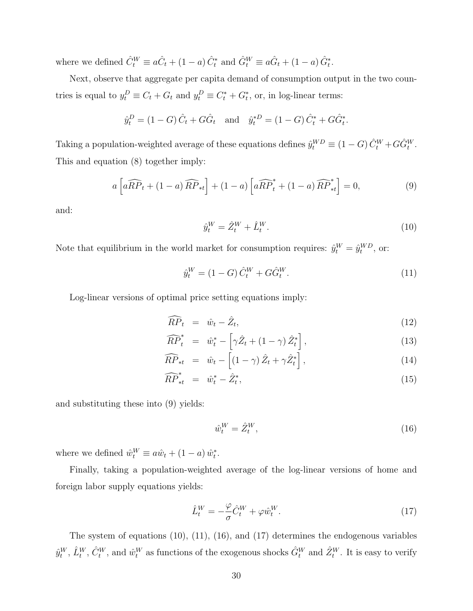where we defined  $\hat{C}_{t}^{W} \equiv a\hat{C}_{t} + (1-a)\,\hat{C}_{t}^{*}$  and  $\hat{G}_{t}^{W} \equiv a\hat{G}_{t} + (1-a)\,\hat{G}_{t}^{*}$ .

Next, observe that aggregate per capita demand of consumption output in the two countries is equal to  $y_t^D \equiv C_t + G_t$  and  $y_t^D \equiv C_t^* + G_t^*$ , or, in log-linear terms:

$$
\hat{y}_t^D = (1 - G)\hat{C}_t + G\hat{G}_t
$$
 and  $\hat{y}_t^{*D} = (1 - G)\hat{C}_t^* + G\hat{G}_t^*.$ 

Taking a population-weighted average of these equations defines  $\hat{y}_t^{WD} \equiv (1-G)\hat{C}_t^W + G\hat{G}_t^W$ . This and equation (8) together imply:

$$
a\left[a\widehat{RP}_t + (1-a)\widehat{RP}_{*t}\right] + (1-a)\left[a\widehat{RP}_t^* + (1-a)\widehat{RP}_{*t}^*\right] = 0,\tag{9}
$$

and:

$$
\hat{y}_t^W = \hat{Z}_t^W + \hat{L}_t^W. \tag{10}
$$

Note that equilibrium in the world market for consumption requires:  $\hat{y}_t^W = \hat{y}_t^{WD}$ , or:

$$
\hat{y}_t^W = (1 - G) \,\hat{C}_t^W + G \hat{G}_t^W. \tag{11}
$$

Log-linear versions of optimal price setting equations imply:

$$
\widehat{RP}_t = \hat{w}_t - \hat{Z}_t, \tag{12}
$$

$$
\widehat{RP}_t^* = \hat{w}_t^* - \left[\gamma \hat{Z}_t + (1 - \gamma) \hat{Z}_t^*\right],\tag{13}
$$

$$
\widehat{RP}_{*t} = \hat{w}_t - \left[ (1 - \gamma) \hat{Z}_t + \gamma \hat{Z}_t^* \right], \tag{14}
$$

$$
\widehat{RP}^*_{*t} = \hat{w}_t^* - \hat{Z}_t^*,\tag{15}
$$

and substituting these into (9) yields:

$$
\hat{w}_t^W = \hat{Z}_t^W,\tag{16}
$$

where we defined  $\hat{w}_t^W \equiv a\hat{w}_t + (1 - a)\hat{w}_t^*$ .

Finally, taking a population-weighted average of the log-linear versions of home and foreign labor supply equations yields:

$$
\hat{L}_t^W = -\frac{\varphi}{\sigma} \hat{C}_t^W + \varphi \hat{w}_t^W.
$$
\n(17)

The system of equations (10), (11), (16), and (17) determines the endogenous variables  $\hat{y}^W_t$ ,  $\hat{L}^W_t$ ,  $\hat{C}^W_t$ , and  $\hat{w}^W_t$  as functions of the exogenous shocks  $\hat{G}^W_t$  and  $\hat{Z}^W_t$ . It is easy to verify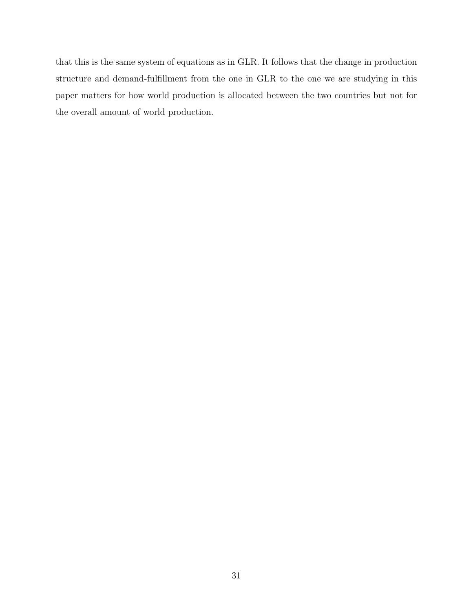that this is the same system of equations as in GLR. It follows that the change in production structure and demand-fulfillment from the one in GLR to the one we are studying in this paper matters for how world production is allocated between the two countries but not for the overall amount of world production.